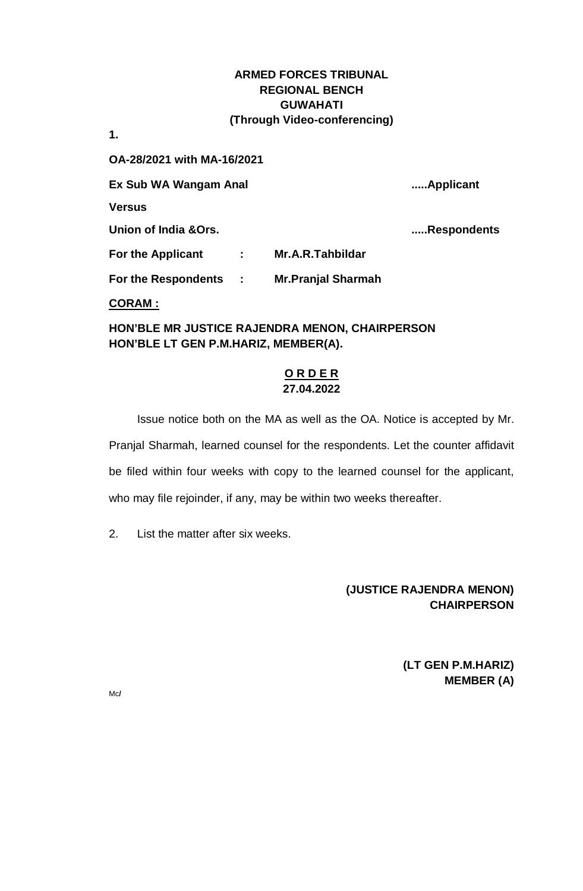**1.**

**OA-28/2021 with MA-16/2021**

**Ex Sub WA Wangam Anal .....Applicant**

**Versus**

**Union of India &Ors. .....Respondents**

**For the Applicant : Mr.A.R.Tahbildar**

**For the Respondents : Mr.Pranjal Sharmah**

**CORAM :**

**HON'BLE MR JUSTICE RAJENDRA MENON, CHAIRPERSON HON'BLE LT GEN P.M.HARIZ, MEMBER(A).**

## **O R D E R 27.04.2022**

Issue notice both on the MA as well as the OA. Notice is accepted by Mr. Pranjal Sharmah, learned counsel for the respondents. Let the counter affidavit be filed within four weeks with copy to the learned counsel for the applicant, who may file rejoinder, if any, may be within two weeks thereafter.

2. List the matter after six weeks.

## **(JUSTICE RAJENDRA MENON) CHAIRPERSON**

**(LT GEN P.M.HARIZ) MEMBER (A)**

Mc**/**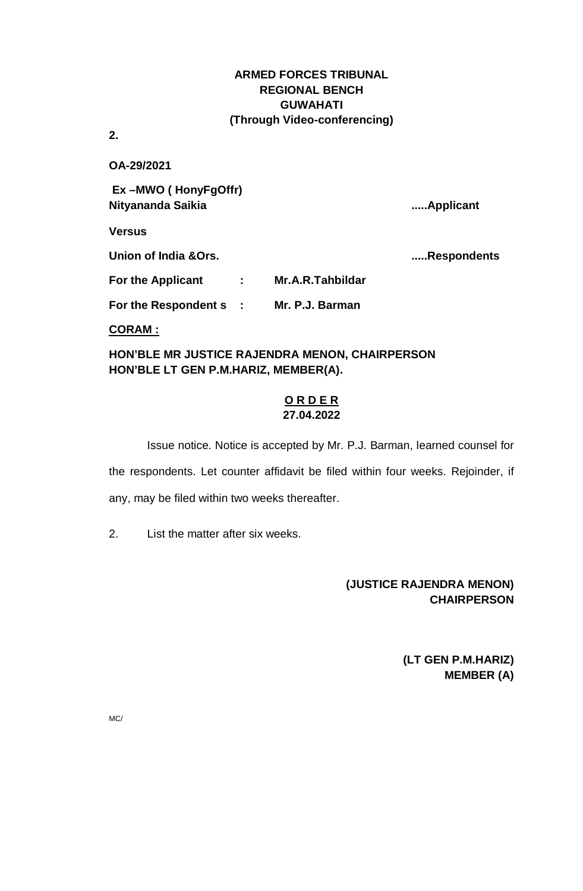**2.**

**OA-29/2021**

**Ex –MWO ( HonyFgOffr) Nityananda Saikia .....Applicant**

**Versus**

**Union of India &Ors. .....Respondents**

| <b>For the Applicant</b>    | Mr.A.R.Tahbildar |
|-----------------------------|------------------|
| <b>For the Respondent s</b> | Mr. P.J. Barman  |

**CORAM :**

**HON'BLE MR JUSTICE RAJENDRA MENON, CHAIRPERSON HON'BLE LT GEN P.M.HARIZ, MEMBER(A).**

### **O R D E R 27.04.2022**

Issue notice. Notice is accepted by Mr. P.J. Barman, learned counsel for the respondents. Let counter affidavit be filed within four weeks. Rejoinder, if any, may be filed within two weeks thereafter.

2. List the matter after six weeks.

# **(JUSTICE RAJENDRA MENON) CHAIRPERSON**

**(LT GEN P.M.HARIZ) MEMBER (A)**

MC/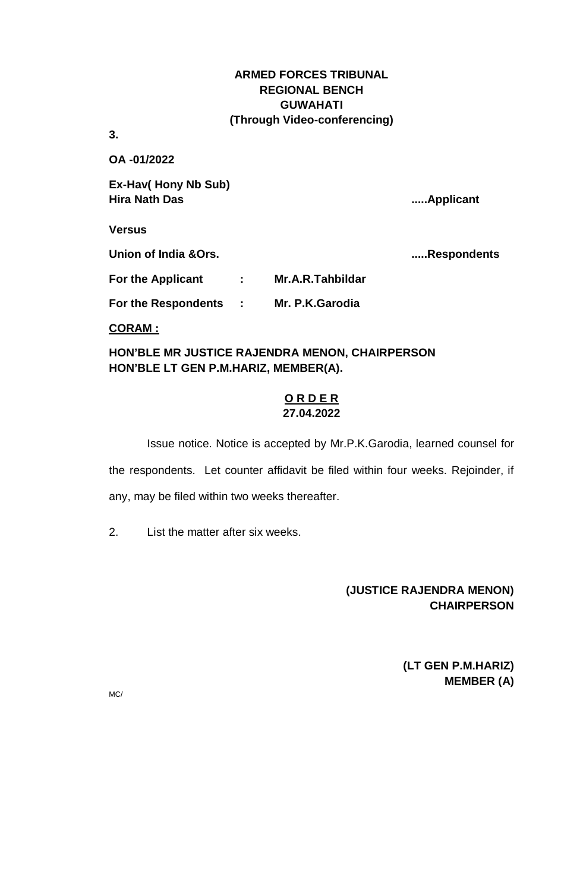**3.** 

**OA -01/2022**

**Ex-Hav( Hony Nb Sub) Hira Nath Das .....Applicant**

**Versus**

**Union of India &Ors. .....Respondents**

**For the Applicant : Mr.A.R.Tahbildar**

**For the Respondents : Mr. P.K.Garodia**

**CORAM :**

**HON'BLE MR JUSTICE RAJENDRA MENON, CHAIRPERSON HON'BLE LT GEN P.M.HARIZ, MEMBER(A).**

### **O R D E R 27.04.2022**

Issue notice. Notice is accepted by Mr.P.K.Garodia, learned counsel for the respondents. Let counter affidavit be filed within four weeks. Rejoinder, if any, may be filed within two weeks thereafter.

2. List the matter after six weeks.

# **(JUSTICE RAJENDRA MENON) CHAIRPERSON**

**(LT GEN P.M.HARIZ) MEMBER (A)**

MC/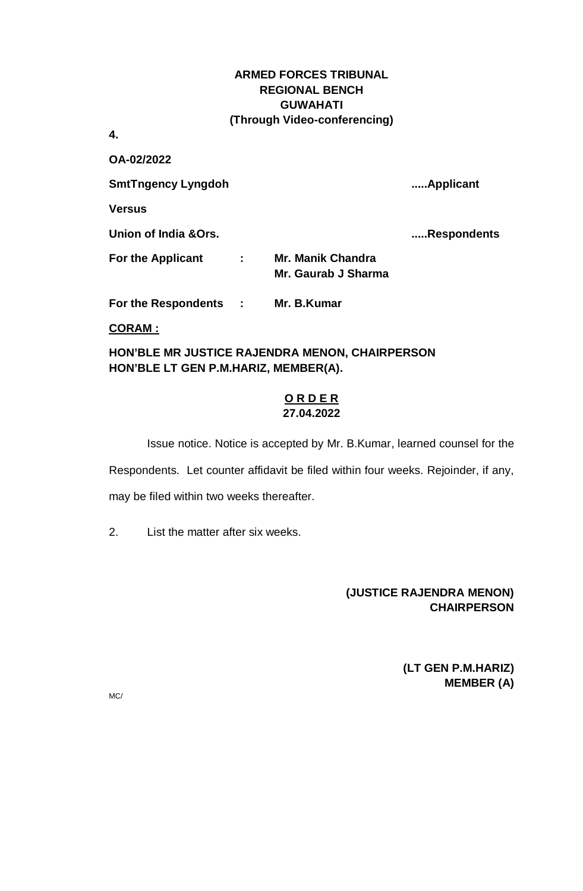**4.**

**OA-02/2022**

**SmtTngency Lyngdoh .....Applicant**

**Versus**

**Union of India &Ors. .....Respondents**

**For the Applicant : Mr. Manik Chandra Mr. Gaurab J Sharma**

**For the Respondents : Mr. B.Kumar**

**CORAM :**

**HON'BLE MR JUSTICE RAJENDRA MENON, CHAIRPERSON HON'BLE LT GEN P.M.HARIZ, MEMBER(A).**

### **O R D E R 27.04.2022**

Issue notice. Notice is accepted by Mr. B.Kumar, learned counsel for the Respondents. Let counter affidavit be filed within four weeks. Rejoinder, if any, may be filed within two weeks thereafter.

2. List the matter after six weeks.

# **(JUSTICE RAJENDRA MENON) CHAIRPERSON**

**(LT GEN P.M.HARIZ) MEMBER (A)**

MC/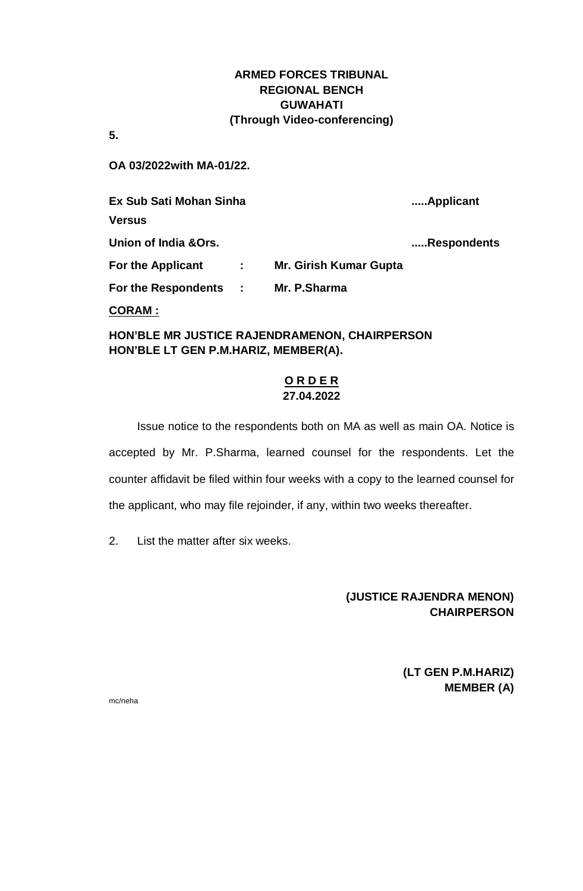**5.**

**OA 03/2022with MA-01/22.**

**Ex Sub Sati Mohan Sinha .....Applicant Versus Union of India &Ors. .....Respondents For the Applicant : Mr. Girish Kumar Gupta For the Respondents : Mr. P.Sharma CORAM :**

**HON'BLE MR JUSTICE RAJENDRAMENON, CHAIRPERSON HON'BLE LT GEN P.M.HARIZ, MEMBER(A).**

# **O R D E R 27.04.2022**

Issue notice to the respondents both on MA as well as main OA. Notice is accepted by Mr. P.Sharma, learned counsel for the respondents. Let the counter affidavit be filed within four weeks with a copy to the learned counsel for the applicant, who may file rejoinder, if any, within two weeks thereafter.

2. List the matter after six weeks.

**(JUSTICE RAJENDRA MENON) CHAIRPERSON**

> **(LT GEN P.M.HARIZ) MEMBER (A)**

mc/neha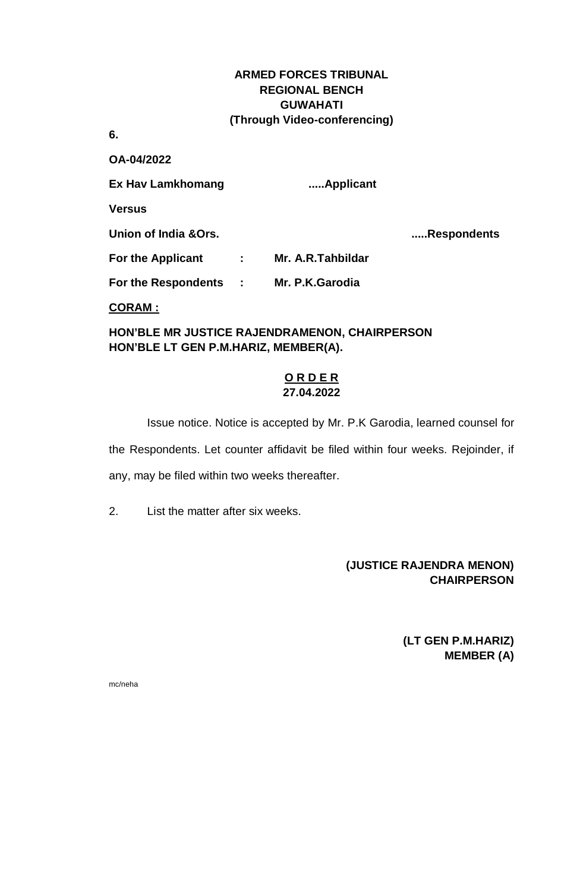**6.**

**OA-04/2022** 

**Ex Hav Lamkhomang .....Applicant**

**Versus**

**Union of India &Ors. .....Respondents**

**For the Applicant : Mr. A.R.Tahbildar**

**For the Respondents : Mr. P.K.Garodia**

**CORAM :**

**HON'BLE MR JUSTICE RAJENDRAMENON, CHAIRPERSON HON'BLE LT GEN P.M.HARIZ, MEMBER(A).**

### **O R D E R 27.04.2022**

Issue notice. Notice is accepted by Mr. P.K Garodia, learned counsel for the Respondents. Let counter affidavit be filed within four weeks. Rejoinder, if any, may be filed within two weeks thereafter.

2. List the matter after six weeks.

# **(JUSTICE RAJENDRA MENON) CHAIRPERSON**

**(LT GEN P.M.HARIZ) MEMBER (A)**

mc/neha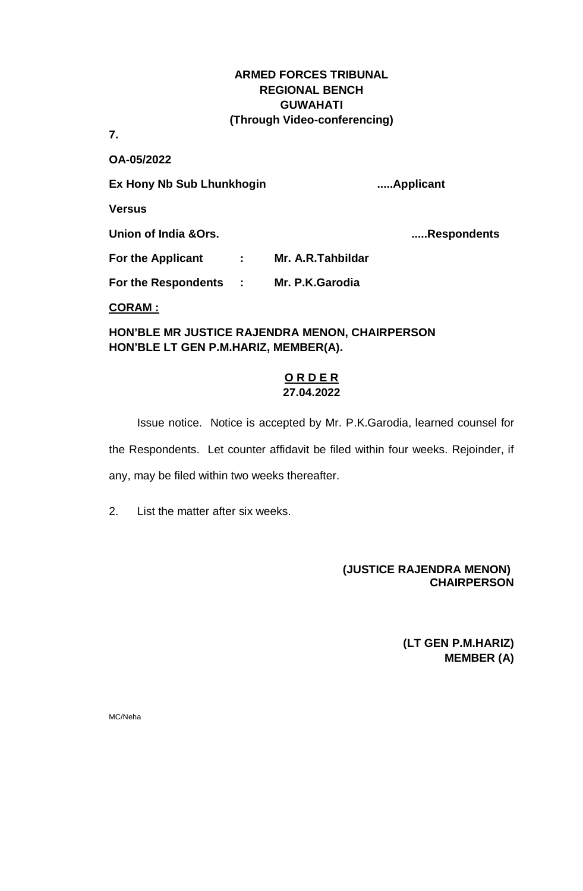**7.**

**OA-05/2022**

**Ex Hony Nb Sub Lhunkhogin .....Applicant Versus**

**Union of India &Ors. .....Respondents**

**For the Applicant : Mr. A.R.Tahbildar**

**For the Respondents : Mr. P.K.Garodia**

**CORAM :**

**HON'BLE MR JUSTICE RAJENDRA MENON, CHAIRPERSON HON'BLE LT GEN P.M.HARIZ, MEMBER(A).**

### **O R D E R 27.04.2022**

Issue notice. Notice is accepted by Mr. P.K.Garodia, learned counsel for the Respondents. Let counter affidavit be filed within four weeks. Rejoinder, if any, may be filed within two weeks thereafter.

2. List the matter after six weeks.

## **(JUSTICE RAJENDRA MENON) CHAIRPERSON**

**(LT GEN P.M.HARIZ) MEMBER (A)**

MC/Neha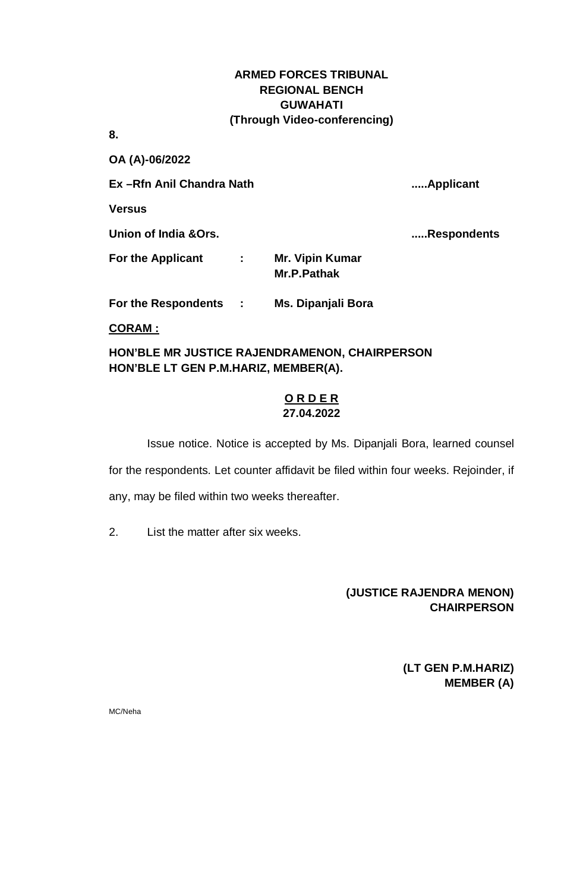**8.** 

**OA (A)-06/2022** 

**Ex –Rfn Anil Chandra Nath .....Applicant**

**Versus**

**Union of India &Ors. .....Respondents**

**For the Applicant : Mr. Vipin Kumar Mr.P.Pathak**

**For the Respondents : Ms. Dipanjali Bora**

**CORAM :**

**HON'BLE MR JUSTICE RAJENDRAMENON, CHAIRPERSON HON'BLE LT GEN P.M.HARIZ, MEMBER(A).**

### **O R D E R 27.04.2022**

Issue notice. Notice is accepted by Ms. Dipanjali Bora, learned counsel for the respondents. Let counter affidavit be filed within four weeks. Rejoinder, if any, may be filed within two weeks thereafter.

2. List the matter after six weeks.

# **(JUSTICE RAJENDRA MENON) CHAIRPERSON**

**(LT GEN P.M.HARIZ) MEMBER (A)**

MC/Neha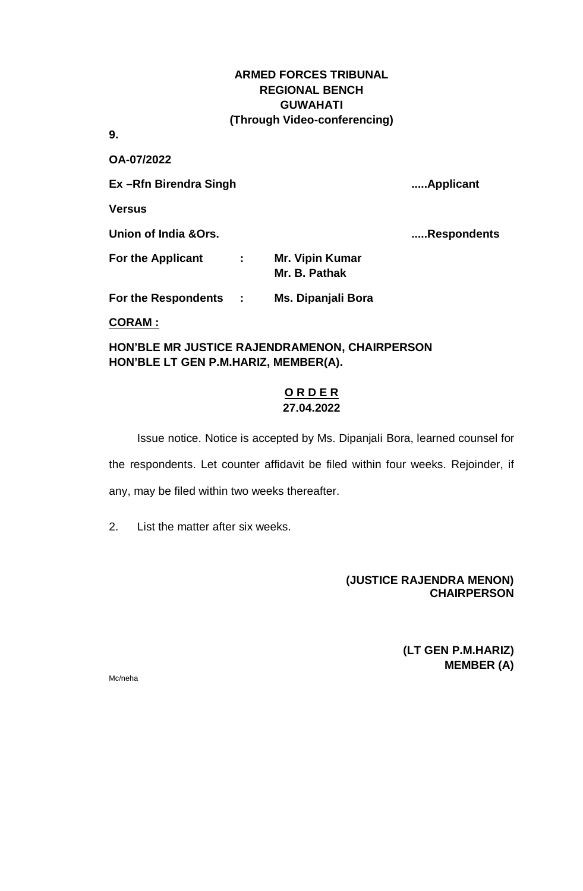**9.** 

**OA-07/2022**

**Ex –Rfn Birendra Singh .....Applicant**

**Versus**

**Union of India &Ors. .....Respondents**

| <b>For the Applicant</b> | <b>Mr. Vipin Kumar</b> |
|--------------------------|------------------------|
|                          | Mr. B. Pathak          |

**For the Respondents : Ms. Dipanjali Bora**

**CORAM :**

**HON'BLE MR JUSTICE RAJENDRAMENON, CHAIRPERSON HON'BLE LT GEN P.M.HARIZ, MEMBER(A).**

### **O R D E R 27.04.2022**

Issue notice. Notice is accepted by Ms. Dipanjali Bora, learned counsel for the respondents. Let counter affidavit be filed within four weeks. Rejoinder, if any, may be filed within two weeks thereafter.

2. List the matter after six weeks.

### **(JUSTICE RAJENDRA MENON) CHAIRPERSON**

**(LT GEN P.M.HARIZ) MEMBER (A)**

Mc/neha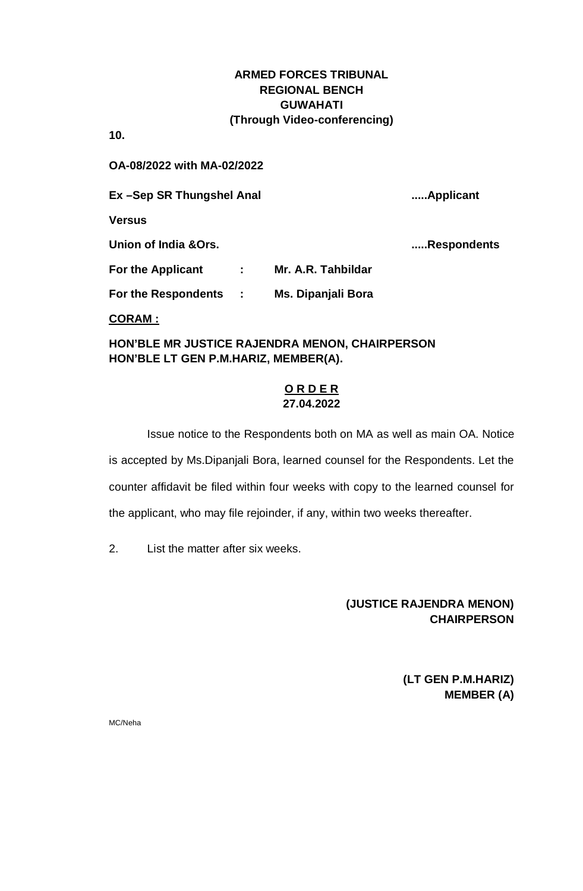**10.**

**OA-08/2022 with MA-02/2022**

**Ex –Sep SR Thungshel Anal .....Applicant**

**Versus**

**Union of India &Ors. .....Respondents**

**For the Applicant : Mr. A.R. Tahbildar**

**For the Respondents : Ms. Dipanjali Bora**

### **CORAM :**

**HON'BLE MR JUSTICE RAJENDRA MENON, CHAIRPERSON HON'BLE LT GEN P.M.HARIZ, MEMBER(A).**

## **O R D E R 27.04.2022**

Issue notice to the Respondents both on MA as well as main OA. Notice is accepted by Ms.Dipanjali Bora, learned counsel for the Respondents. Let the counter affidavit be filed within four weeks with copy to the learned counsel for the applicant, who may file rejoinder, if any, within two weeks thereafter.

2. List the matter after six weeks.

# **(JUSTICE RAJENDRA MENON) CHAIRPERSON**

**(LT GEN P.M.HARIZ) MEMBER (A)**

MC/Neha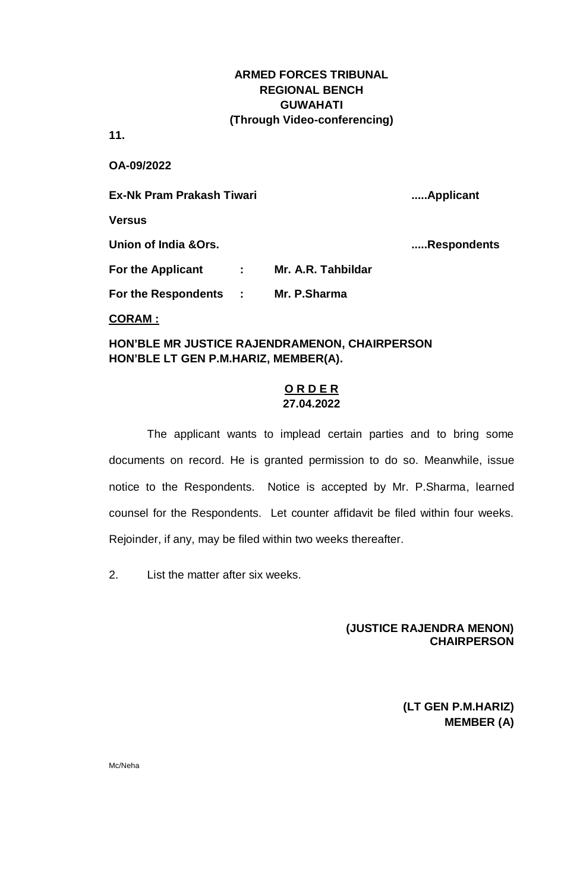**11.**

**OA-09/2022**

**Ex-Nk Pram Prakash Tiwari .....Applicant Versus Union of India &Ors. .....Respondents For the Applicant : Mr. A.R. Tahbildar For the Respondents : Mr. P.Sharma**

### **CORAM :**

### **HON'BLE MR JUSTICE RAJENDRAMENON, CHAIRPERSON HON'BLE LT GEN P.M.HARIZ, MEMBER(A).**

### **O R D E R 27.04.2022**

The applicant wants to implead certain parties and to bring some documents on record. He is granted permission to do so. Meanwhile, issue notice to the Respondents. Notice is accepted by Mr. P.Sharma, learned counsel for the Respondents. Let counter affidavit be filed within four weeks. Rejoinder, if any, may be filed within two weeks thereafter.

2. List the matter after six weeks.

### **(JUSTICE RAJENDRA MENON) CHAIRPERSON**

**(LT GEN P.M.HARIZ) MEMBER (A)**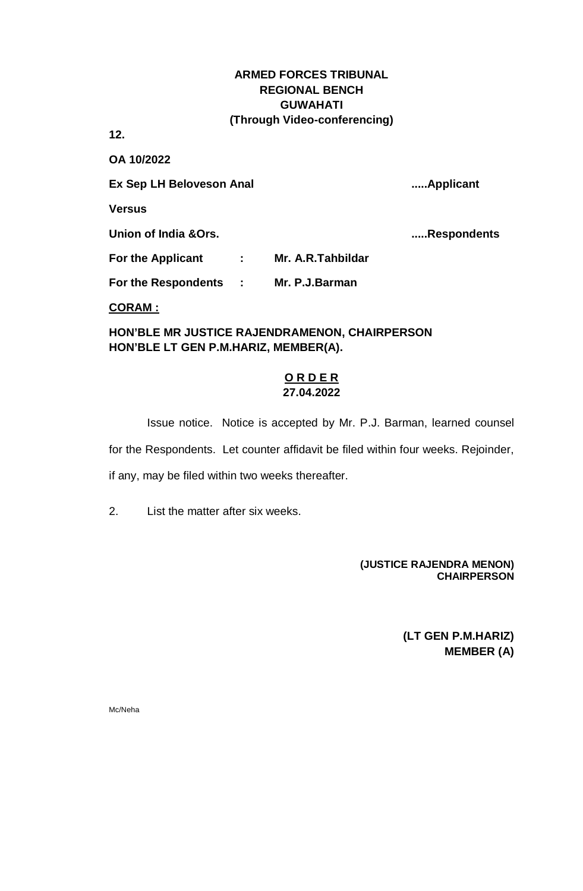**12.**

**OA 10/2022**

**Ex Sep LH Beloveson Anal .....Applicant**

**Versus**

**Union of India &Ors. .....Respondents**

**For the Applicant : Mr. A.R.Tahbildar**

**For the Respondents : Mr. P.J.Barman**

**CORAM :**

**HON'BLE MR JUSTICE RAJENDRAMENON, CHAIRPERSON HON'BLE LT GEN P.M.HARIZ, MEMBER(A).**

### **O R D E R 27.04.2022**

Issue notice. Notice is accepted by Mr. P.J. Barman, learned counsel for the Respondents. Let counter affidavit be filed within four weeks. Rejoinder, if any, may be filed within two weeks thereafter.

2. List the matter after six weeks.

### **(JUSTICE RAJENDRA MENON) CHAIRPERSON**

**(LT GEN P.M.HARIZ) MEMBER (A)**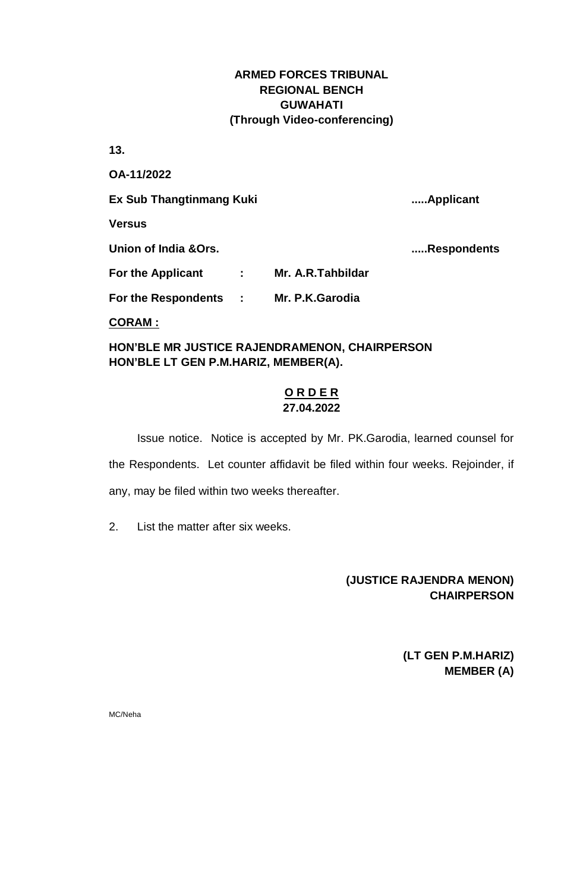**13.**

**OA-11/2022 Ex Sub Thangtinmang Kuki .....Applicant Versus Union of India &Ors. .....Respondents For the Applicant : Mr. A.R.Tahbildar For the Respondents : Mr. P.K.Garodia**

**CORAM :**

**HON'BLE MR JUSTICE RAJENDRAMENON, CHAIRPERSON HON'BLE LT GEN P.M.HARIZ, MEMBER(A).**

### **O R D E R 27.04.2022**

Issue notice. Notice is accepted by Mr. PK.Garodia, learned counsel for the Respondents. Let counter affidavit be filed within four weeks. Rejoinder, if any, may be filed within two weeks thereafter.

2. List the matter after six weeks.

# **(JUSTICE RAJENDRA MENON) CHAIRPERSON**

**(LT GEN P.M.HARIZ) MEMBER (A)**

MC/Neha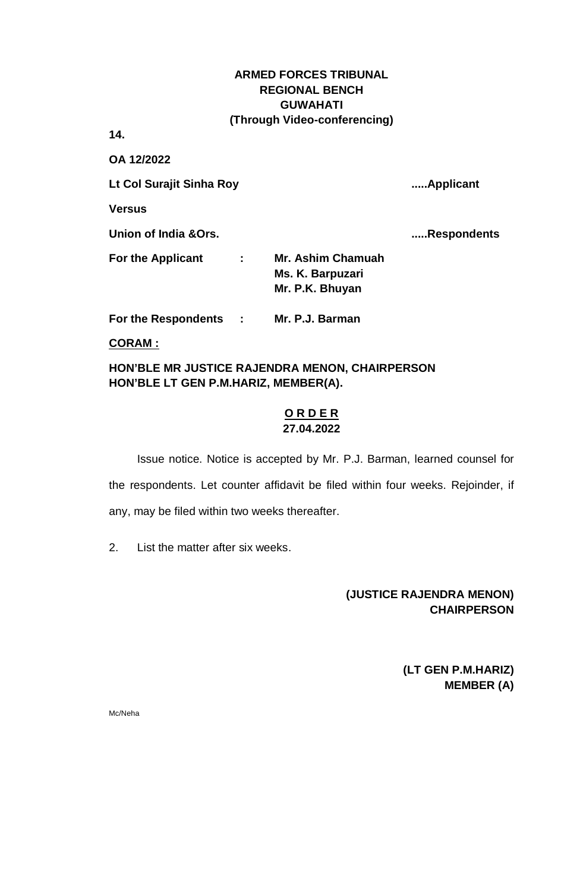**14.**

**OA 12/2022**

**Lt Col Surajit Sinha Roy .....Applicant**

**Versus**

**Union of India &Ors. .....Respondents**

**For the Applicant : Mr. Ashim Chamuah Ms. K. Barpuzari Mr. P.K. Bhuyan**

**For the Respondents : Mr. P.J. Barman**

**CORAM :**

**HON'BLE MR JUSTICE RAJENDRA MENON, CHAIRPERSON HON'BLE LT GEN P.M.HARIZ, MEMBER(A).**

### **O R D E R 27.04.2022**

Issue notice. Notice is accepted by Mr. P.J. Barman, learned counsel for the respondents. Let counter affidavit be filed within four weeks. Rejoinder, if any, may be filed within two weeks thereafter.

2. List the matter after six weeks.

## **(JUSTICE RAJENDRA MENON) CHAIRPERSON**

**(LT GEN P.M.HARIZ) MEMBER (A)**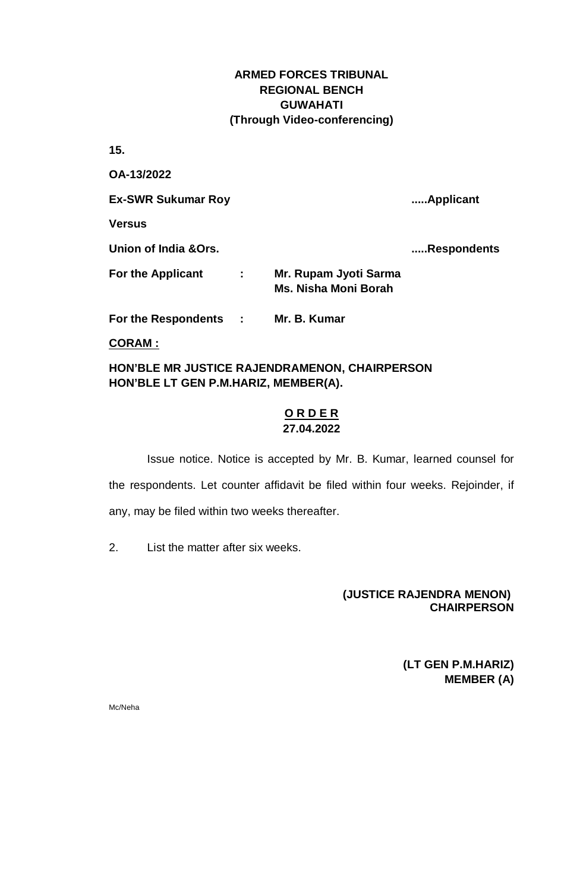**15.** 

**OA-13/2022 Ex-SWR Sukumar Roy .....Applicant Versus Union of India &Ors. .....Respondents For the Applicant : Mr. Rupam Jyoti Sarma Ms. Nisha Moni Borah For the Respondents : Mr. B. Kumar**

**CORAM :**

**HON'BLE MR JUSTICE RAJENDRAMENON, CHAIRPERSON HON'BLE LT GEN P.M.HARIZ, MEMBER(A).**

### **O R D E R 27.04.2022**

Issue notice. Notice is accepted by Mr. B. Kumar, learned counsel for the respondents. Let counter affidavit be filed within four weeks. Rejoinder, if any, may be filed within two weeks thereafter.

2. List the matter after six weeks.

### **(JUSTICE RAJENDRA MENON) CHAIRPERSON**

**(LT GEN P.M.HARIZ) MEMBER (A)**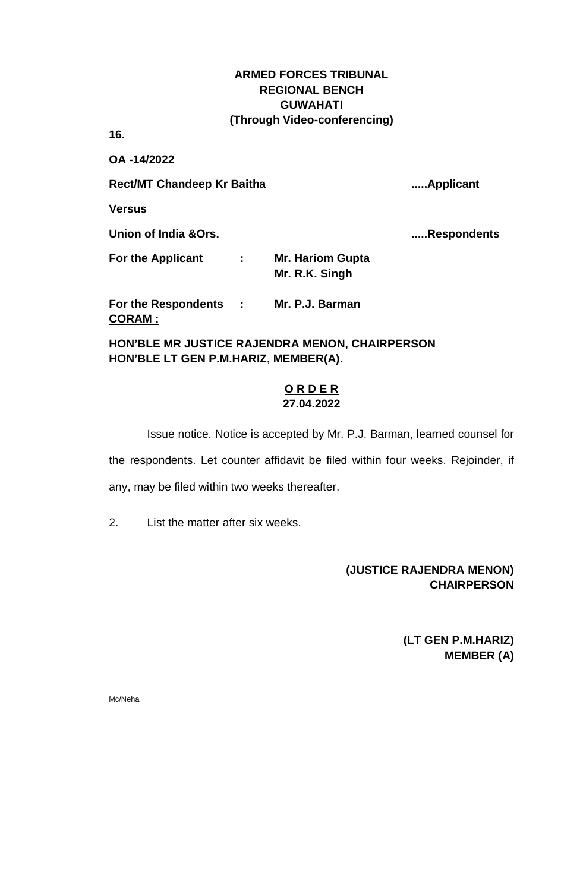**16.**

**OA -14/2022**

Rect/MT Chandeep Kr Baitha **...... Applicant** 

**Versus**

**Union of India &Ors. .....Respondents**

**For the Applicant : Mr. Hariom Gupta Mr. R.K. Singh**

**For the Respondents : Mr. P.J. Barman CORAM :**

**HON'BLE MR JUSTICE RAJENDRA MENON, CHAIRPERSON HON'BLE LT GEN P.M.HARIZ, MEMBER(A).**

### **O R D E R 27.04.2022**

Issue notice. Notice is accepted by Mr. P.J. Barman, learned counsel for the respondents. Let counter affidavit be filed within four weeks. Rejoinder, if any, may be filed within two weeks thereafter.

2. List the matter after six weeks.

# **(JUSTICE RAJENDRA MENON) CHAIRPERSON**

 **(LT GEN P.M.HARIZ) MEMBER (A)**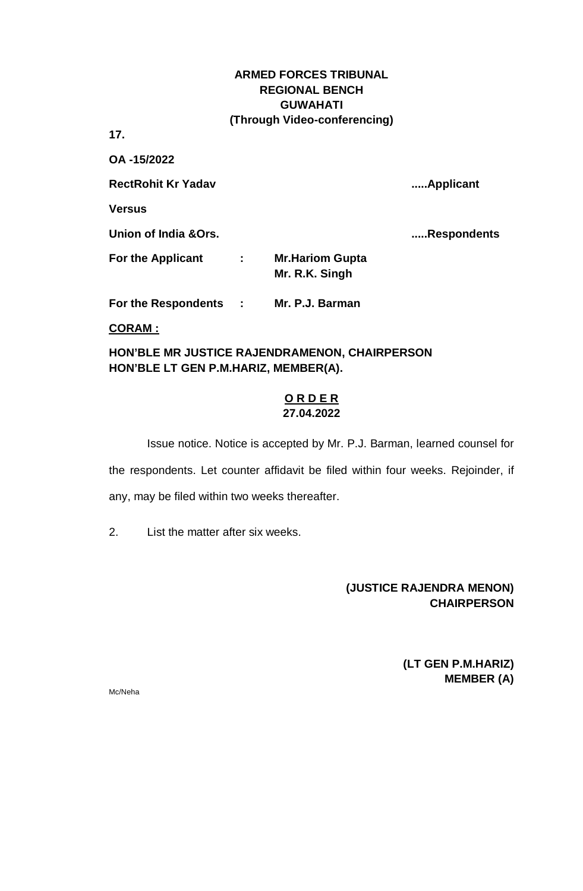**17.**

**OA -15/2022**

**RectRohit Kr Yadav .....Applicant**

**Versus**

**Union of India &Ors. .....Respondents**

**For the Applicant : Mr.Hariom Gupta Mr. R.K. Singh**

**For the Respondents : Mr. P.J. Barman**

**CORAM :**

**HON'BLE MR JUSTICE RAJENDRAMENON, CHAIRPERSON HON'BLE LT GEN P.M.HARIZ, MEMBER(A).**

### **O R D E R 27.04.2022**

Issue notice. Notice is accepted by Mr. P.J. Barman, learned counsel for the respondents. Let counter affidavit be filed within four weeks. Rejoinder, if any, may be filed within two weeks thereafter.

2. List the matter after six weeks.

**(JUSTICE RAJENDRA MENON) CHAIRPERSON**

> **(LT GEN P.M.HARIZ) MEMBER (A)**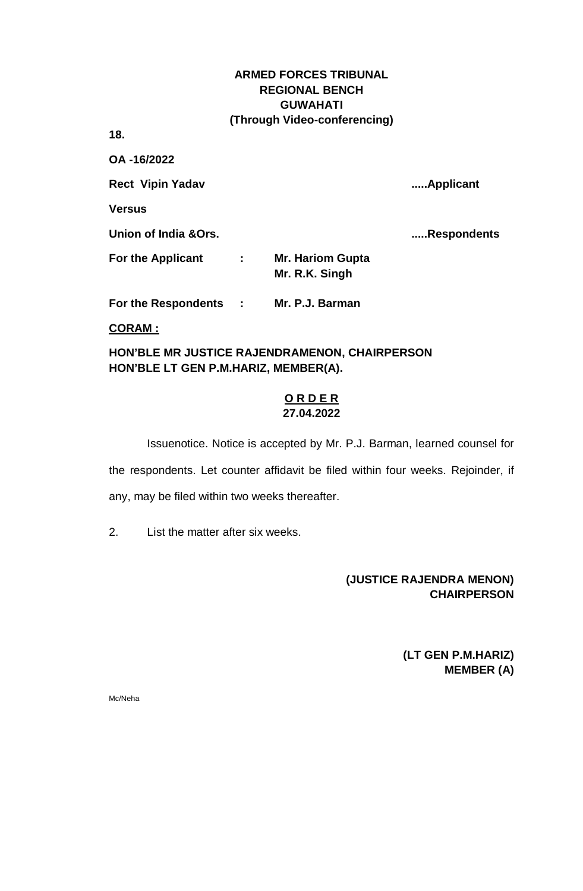**18.**

**OA -16/2022** 

**Rect Vipin Yadav .....Applicant**

**Versus**

**Union of India &Ors. .....Respondents**

**For the Applicant : Mr. Hariom Gupta Mr. R.K. Singh**

**For the Respondents : Mr. P.J. Barman**

**CORAM :**

**HON'BLE MR JUSTICE RAJENDRAMENON, CHAIRPERSON HON'BLE LT GEN P.M.HARIZ, MEMBER(A).**

### **O R D E R 27.04.2022**

Issuenotice. Notice is accepted by Mr. P.J. Barman, learned counsel for the respondents. Let counter affidavit be filed within four weeks. Rejoinder, if any, may be filed within two weeks thereafter.

2. List the matter after six weeks.

# **(JUSTICE RAJENDRA MENON) CHAIRPERSON**

**(LT GEN P.M.HARIZ) MEMBER (A)**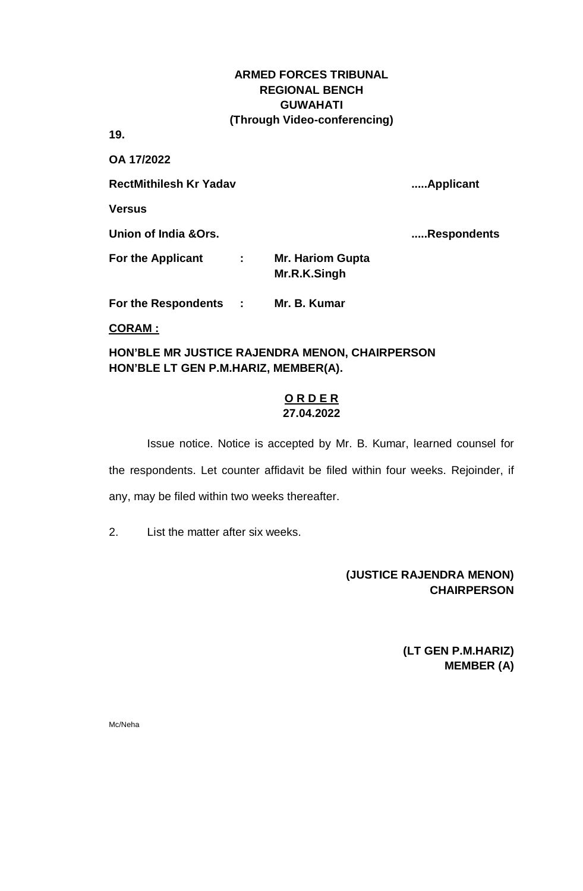**19.**

**OA 17/2022** 

**RectMithilesh Kr Yadav .....Applicant**

**Versus**

**Union of India &Ors. .....Respondents**

**For the Applicant : Mr. Hariom Gupta Mr.R.K.Singh**

**For the Respondents : Mr. B. Kumar**

**CORAM :**

**HON'BLE MR JUSTICE RAJENDRA MENON, CHAIRPERSON HON'BLE LT GEN P.M.HARIZ, MEMBER(A).**

### **O R D E R 27.04.2022**

Issue notice. Notice is accepted by Mr. B. Kumar, learned counsel for the respondents. Let counter affidavit be filed within four weeks. Rejoinder, if any, may be filed within two weeks thereafter.

2. List the matter after six weeks.

# **(JUSTICE RAJENDRA MENON) CHAIRPERSON**

**(LT GEN P.M.HARIZ) MEMBER (A)**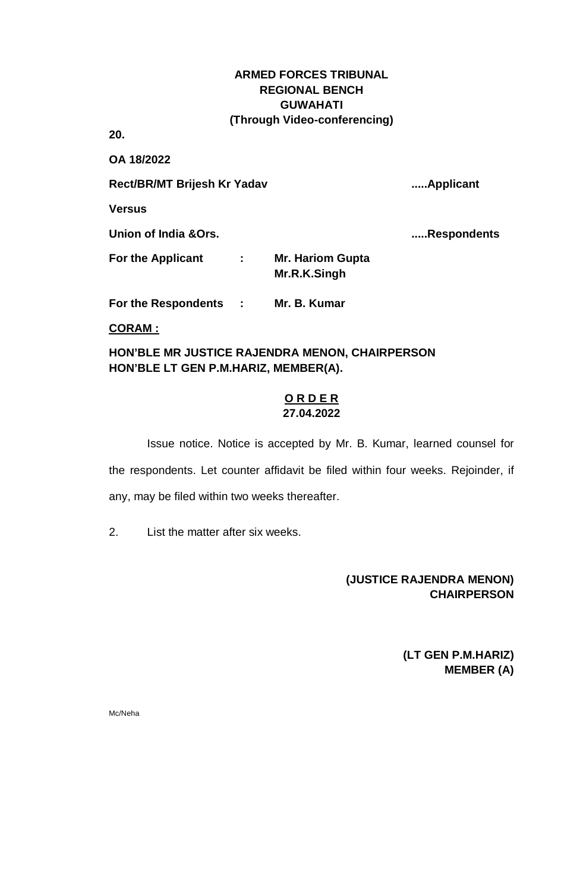**20.**

**OA 18/2022**

**Rect/BR/MT Brijesh Kr Yadav .....Applicant**

**Versus**

**Union of India &Ors. .....Respondents**

**For the Applicant : Mr. Hariom Gupta Mr.R.K.Singh**

**For the Respondents : Mr. B. Kumar**

**CORAM :**

**HON'BLE MR JUSTICE RAJENDRA MENON, CHAIRPERSON HON'BLE LT GEN P.M.HARIZ, MEMBER(A).**

### **O R D E R 27.04.2022**

Issue notice. Notice is accepted by Mr. B. Kumar, learned counsel for the respondents. Let counter affidavit be filed within four weeks. Rejoinder, if any, may be filed within two weeks thereafter.

2. List the matter after six weeks.

# **(JUSTICE RAJENDRA MENON) CHAIRPERSON**

**(LT GEN P.M.HARIZ) MEMBER (A)**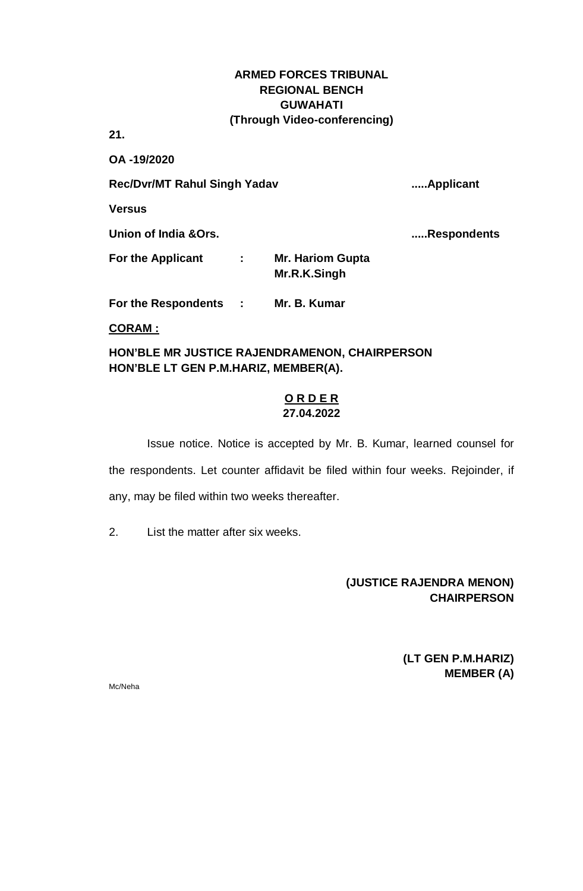**21.**

**OA -19/2020** 

**Rec/Dvr/MT Rahul Singh Yadav .....Applicant**

**Versus**

**Union of India &Ors. .....Respondents**

**For the Applicant : Mr. Hariom Gupta Mr.R.K.Singh**

**For the Respondents : Mr. B. Kumar**

**CORAM :**

**HON'BLE MR JUSTICE RAJENDRAMENON, CHAIRPERSON HON'BLE LT GEN P.M.HARIZ, MEMBER(A).**

### **O R D E R 27.04.2022**

Issue notice. Notice is accepted by Mr. B. Kumar, learned counsel for the respondents. Let counter affidavit be filed within four weeks. Rejoinder, if any, may be filed within two weeks thereafter.

2. List the matter after six weeks.

# **(JUSTICE RAJENDRA MENON) CHAIRPERSON**

**(LT GEN P.M.HARIZ) MEMBER (A)**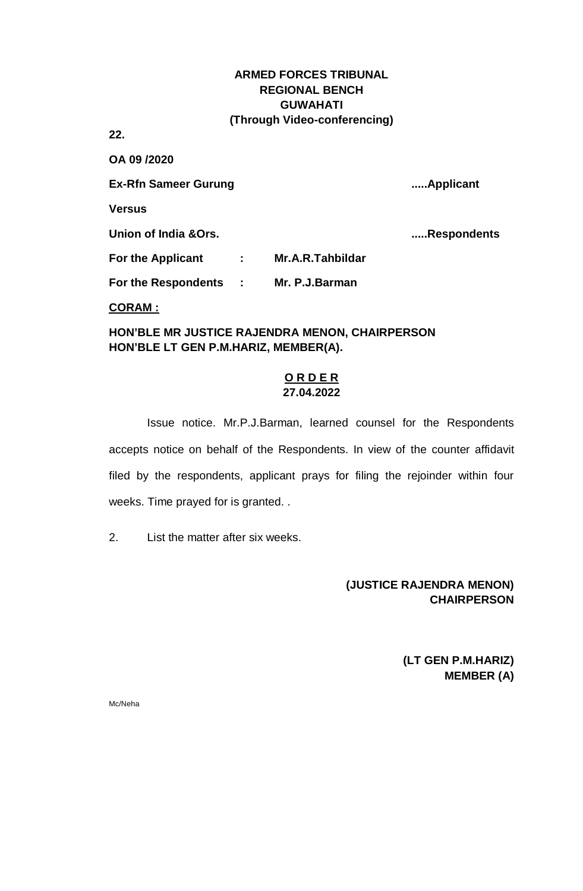**22.**

**OA 09 /2020 Ex-Rfn Sameer Gurung .....Applicant Versus Union of India &Ors. .....Respondents For the Applicant : Mr.A.R.Tahbildar For the Respondents : Mr. P.J.Barman**

**CORAM :**

**HON'BLE MR JUSTICE RAJENDRA MENON, CHAIRPERSON HON'BLE LT GEN P.M.HARIZ, MEMBER(A).**

### **O R D E R 27.04.2022**

Issue notice. Mr.P.J.Barman, learned counsel for the Respondents accepts notice on behalf of the Respondents. In view of the counter affidavit filed by the respondents, applicant prays for filing the rejoinder within four weeks. Time prayed for is granted. .

2. List the matter after six weeks.

# **(JUSTICE RAJENDRA MENON) CHAIRPERSON**

**(LT GEN P.M.HARIZ) MEMBER (A)**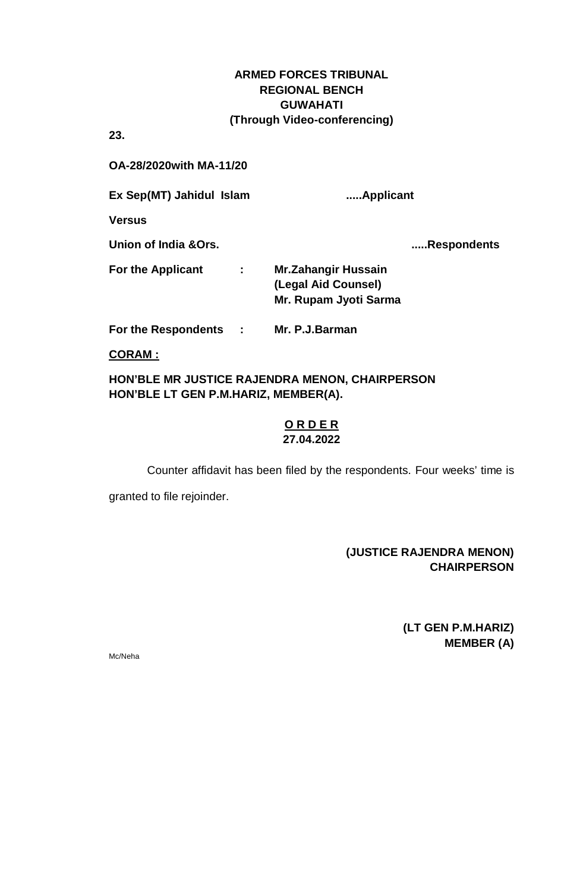**23.**

## **OA-28/2020with MA-11/20**

**Ex Sep(MT) Jahidul Islam .....Applicant**

**Versus**

**Union of India &Ors. .....Respondents**

| <b>For the Applicant</b> | <b>Mr.Zahangir Hussain</b> |
|--------------------------|----------------------------|
|                          |                            |
|                          | (Legal Aid Counsel)        |
|                          | Mr. Rupam Jyoti Sarma      |

**For the Respondents : Mr. P.J.Barman**

**CORAM :**

## **HON'BLE MR JUSTICE RAJENDRA MENON, CHAIRPERSON HON'BLE LT GEN P.M.HARIZ, MEMBER(A).**

#### **O R D E R 27.04.2022**

Counter affidavit has been filed by the respondents. Four weeks' time is

granted to file rejoinder.

## **(JUSTICE RAJENDRA MENON) CHAIRPERSON**

**(LT GEN P.M.HARIZ) MEMBER (A)**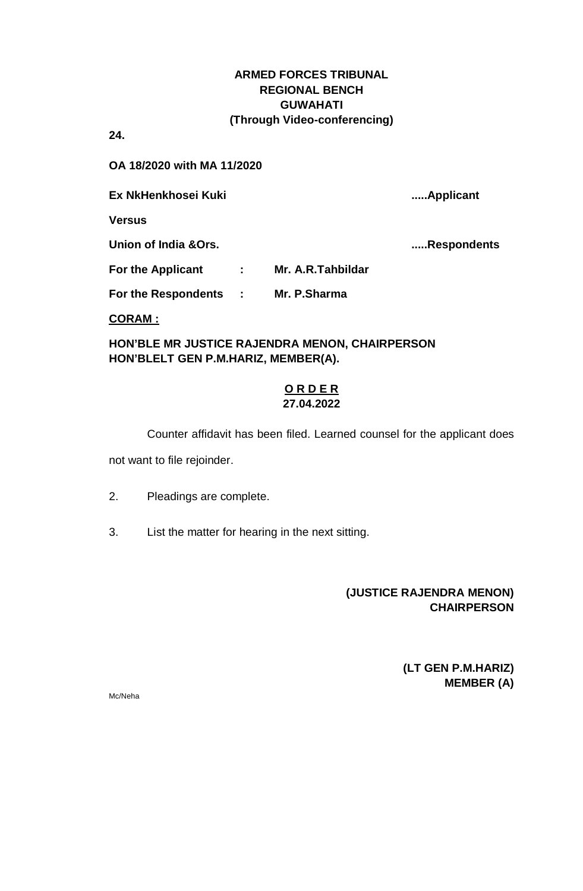**24.**

**OA 18/2020 with MA 11/2020** 

**Ex NkHenkhosei Kuki .....Applicant**

**Versus**

**Union of India &Ors. .....Respondents**

**For the Applicant : Mr. A.R.Tahbildar**

**For the Respondents : Mr. P.Sharma**

### **CORAM :**

**HON'BLE MR JUSTICE RAJENDRA MENON, CHAIRPERSON HON'BLELT GEN P.M.HARIZ, MEMBER(A).**

### **O R D E R 27.04.2022**

Counter affidavit has been filed. Learned counsel for the applicant does not want to file rejoinder.

- 2. Pleadings are complete.
- 3. List the matter for hearing in the next sitting.

## **(JUSTICE RAJENDRA MENON) CHAIRPERSON**

**(LT GEN P.M.HARIZ) MEMBER (A)**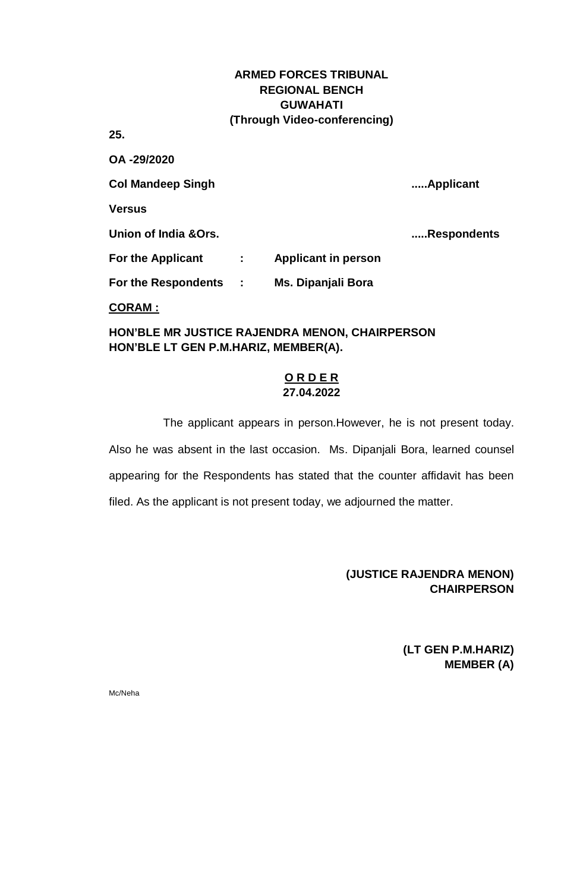**25.**

**OA -29/2020 Col Mandeep Singh .....Applicant Versus Union of India &Ors. .....Respondents For the Applicant : Applicant in person For the Respondents : Ms. Dipanjali Bora CORAM :**

**HON'BLE MR JUSTICE RAJENDRA MENON, CHAIRPERSON HON'BLE LT GEN P.M.HARIZ, MEMBER(A).**

## **O R D E R 27.04.2022**

The applicant appears in person.However, he is not present today. Also he was absent in the last occasion. Ms. Dipanjali Bora, learned counsel appearing for the Respondents has stated that the counter affidavit has been filed. As the applicant is not present today, we adjourned the matter.

# **(JUSTICE RAJENDRA MENON) CHAIRPERSON**

**(LT GEN P.M.HARIZ) MEMBER (A)**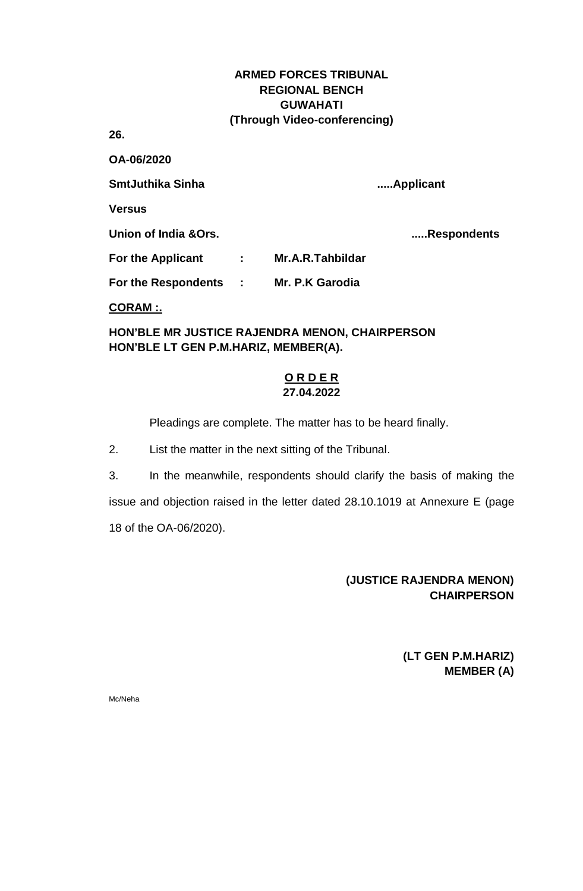**26.**

**OA-06/2020 SmtJuthika Sinha .....Applicant Versus Union of India &Ors. .....Respondents For the Applicant : Mr.A.R.Tahbildar For the Respondents : Mr. P.K Garodia CORAM :.**

**HON'BLE MR JUSTICE RAJENDRA MENON, CHAIRPERSON HON'BLE LT GEN P.M.HARIZ, MEMBER(A).**

### **O R D E R 27.04.2022**

Pleadings are complete. The matter has to be heard finally.

2. List the matter in the next sitting of the Tribunal.

3. In the meanwhile, respondents should clarify the basis of making the issue and objection raised in the letter dated 28.10.1019 at Annexure E (page 18 of the OA-06/2020).

# **(JUSTICE RAJENDRA MENON) CHAIRPERSON**

**(LT GEN P.M.HARIZ) MEMBER (A)**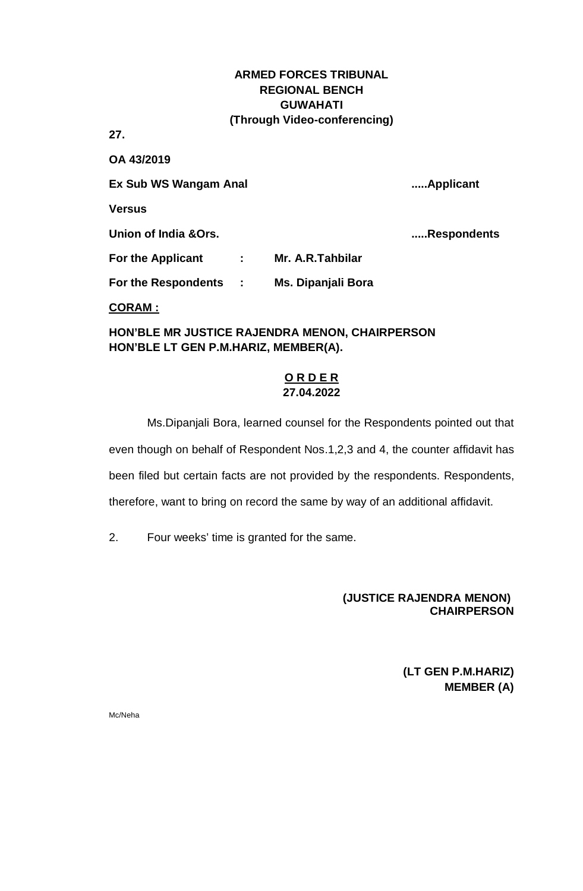**27.**

**OA 43/2019 Ex Sub WS Wangam Anal .....Applicant Versus Union of India &Ors. .....Respondents For the Applicant : Mr. A.R.Tahbilar For the Respondents : Ms. Dipanjali Bora CORAM :**

**HON'BLE MR JUSTICE RAJENDRA MENON, CHAIRPERSON HON'BLE LT GEN P.M.HARIZ, MEMBER(A).**

# **O R D E R 27.04.2022**

Ms.Dipanjali Bora, learned counsel for the Respondents pointed out that even though on behalf of Respondent Nos.1,2,3 and 4, the counter affidavit has been filed but certain facts are not provided by the respondents. Respondents, therefore, want to bring on record the same by way of an additional affidavit.

2. Four weeks' time is granted for the same.

# **(JUSTICE RAJENDRA MENON) CHAIRPERSON**

**(LT GEN P.M.HARIZ) MEMBER (A)**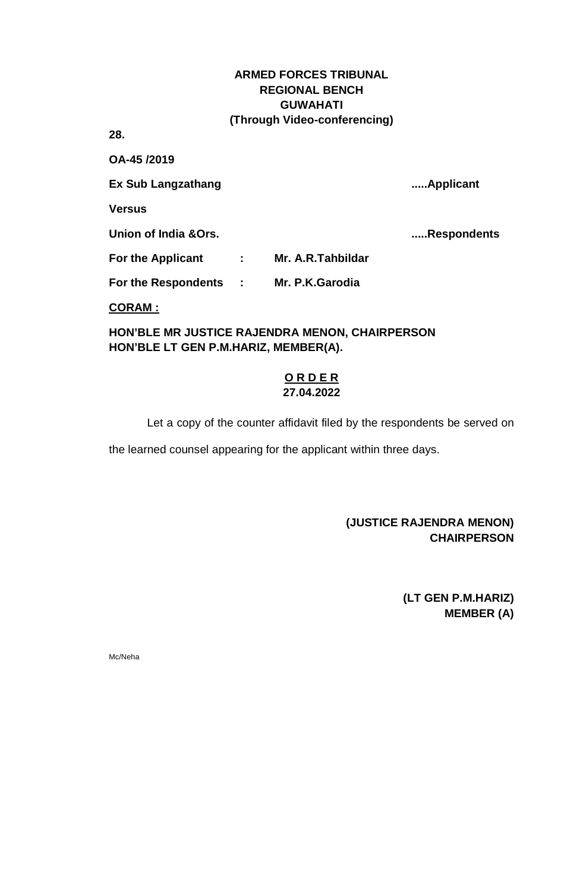**28.**

**OA-45 /2019** 

**Ex Sub Langzathang .....Applicant**

**Versus**

**Union of India &Ors. .....Respondents**

**For the Applicant : Mr. A.R.Tahbildar**

**For the Respondents : Mr. P.K.Garodia**

**CORAM :**

**HON'BLE MR JUSTICE RAJENDRA MENON, CHAIRPERSON HON'BLE LT GEN P.M.HARIZ, MEMBER(A).**

### **O R D E R 27.04.2022**

Let a copy of the counter affidavit filed by the respondents be served on

the learned counsel appearing for the applicant within three days.

# **(JUSTICE RAJENDRA MENON) CHAIRPERSON**

**(LT GEN P.M.HARIZ) MEMBER (A)**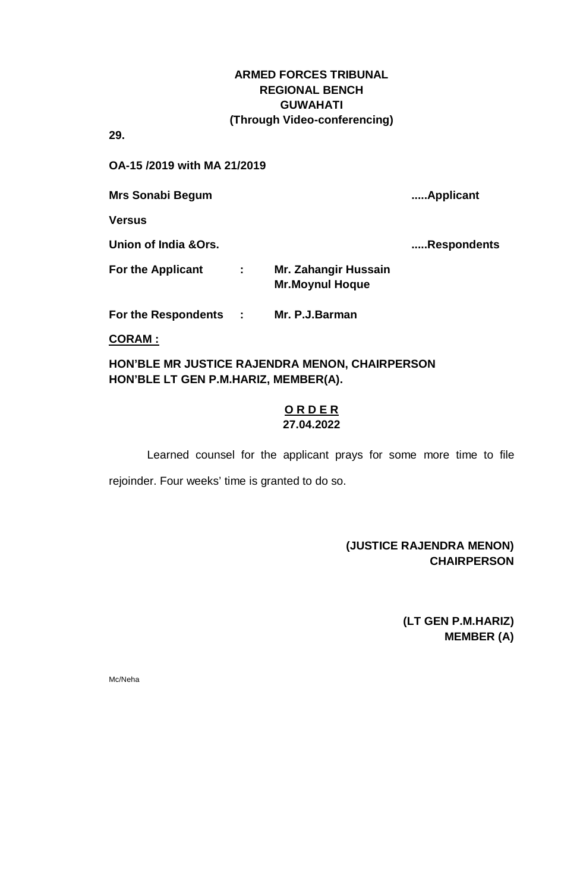**29.** 

**OA-15 /2019 with MA 21/2019**

**Mrs Sonabi Begum .....Applicant**

**Versus**

**Union of India &Ors. .....Respondents**

| <b>For the Applicant</b> | Mr. Zahangir Hussain   |
|--------------------------|------------------------|
|                          | <b>Mr.Moynul Hoque</b> |

**For the Respondents : Mr. P.J.Barman**

**CORAM :**

**HON'BLE MR JUSTICE RAJENDRA MENON, CHAIRPERSON HON'BLE LT GEN P.M.HARIZ, MEMBER(A).**

## **O R D E R 27.04.2022**

Learned counsel for the applicant prays for some more time to file rejoinder. Four weeks' time is granted to do so.

## **(JUSTICE RAJENDRA MENON) CHAIRPERSON**

**(LT GEN P.M.HARIZ) MEMBER (A)**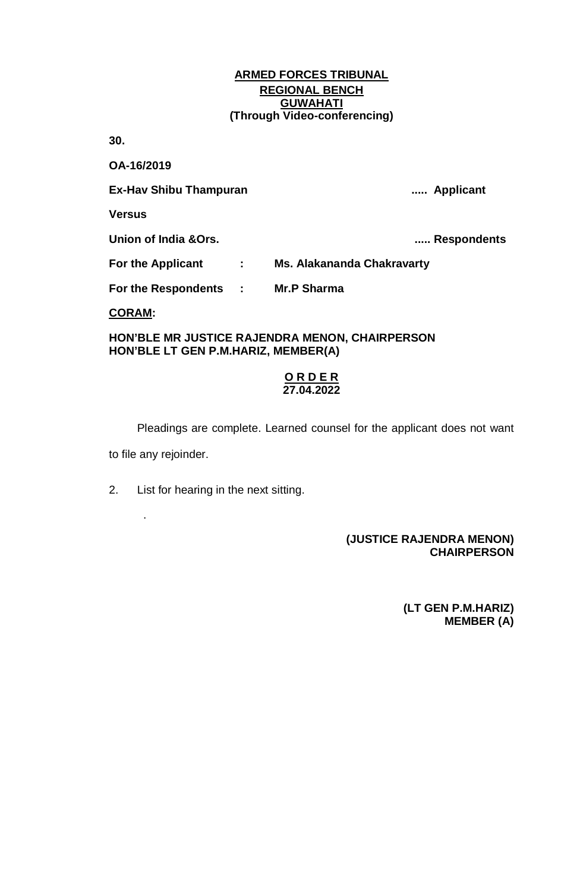**30.**

**OA-16/2019 Ex-Hav Shibu Thampuran ..... Applicant Versus Union of India &Ors. ..... Respondents For the Applicant : Ms. Alakananda Chakravarty For the Respondents : Mr.P Sharma**

**CORAM:**

.

#### **HON'BLE MR JUSTICE RAJENDRA MENON, CHAIRPERSON HON'BLE LT GEN P.M.HARIZ, MEMBER(A)**

#### **O R D E R 27.04.2022**

Pleadings are complete. Learned counsel for the applicant does not want to file any rejoinder.

2. List for hearing in the next sitting.

## **(JUSTICE RAJENDRA MENON) CHAIRPERSON**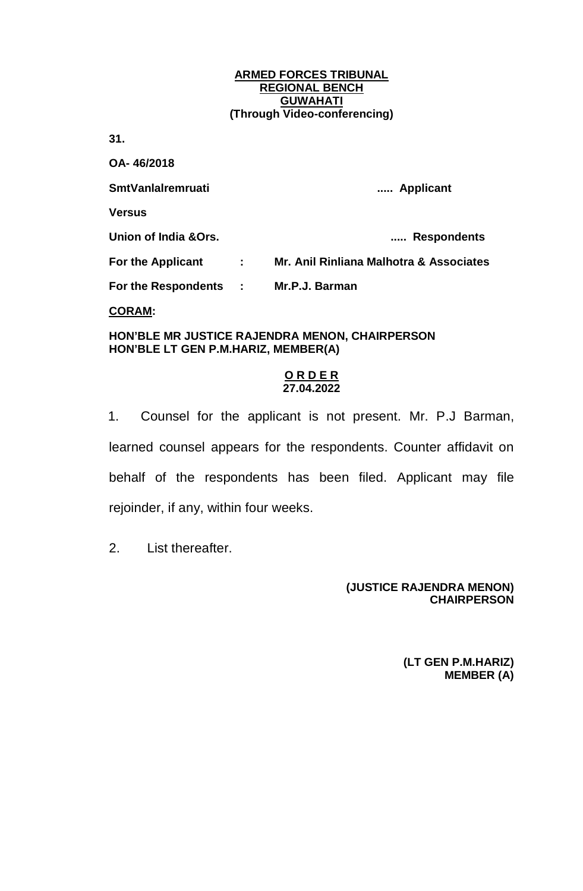**31.** 

**OA- 46/2018 SmtVanlalremruati ..... Applicant Versus Union of India &Ors. ..... Respondents For the Applicant : Mr. Anil Rinliana Malhotra & Associates For the Respondents : Mr.P.J. Barman CORAM:**

**HON'BLE MR JUSTICE RAJENDRA MENON, CHAIRPERSON HON'BLE LT GEN P.M.HARIZ, MEMBER(A)**

### **O R D E R 27.04.2022**

1. Counsel for the applicant is not present. Mr. P.J Barman, learned counsel appears for the respondents. Counter affidavit on behalf of the respondents has been filed. Applicant may file rejoinder, if any, within four weeks.

2. List thereafter.

### **(JUSTICE RAJENDRA MENON) CHAIRPERSON**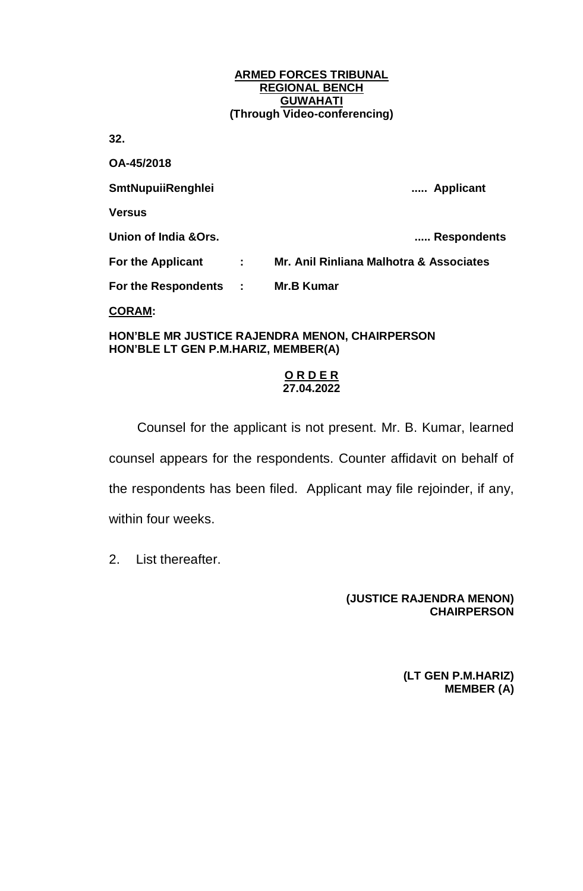**32.** 

**OA-45/2018 SmtNupuiiRenghlei ..... Applicant Versus Union of India &Ors. ..... Respondents For the Applicant : Mr. Anil Rinliana Malhotra & Associates For the Respondents : Mr.B Kumar CORAM:**

**HON'BLE MR JUSTICE RAJENDRA MENON, CHAIRPERSON HON'BLE LT GEN P.M.HARIZ, MEMBER(A)**

### **O R D E R 27.04.2022**

Counsel for the applicant is not present. Mr. B. Kumar, learned counsel appears for the respondents. Counter affidavit on behalf of the respondents has been filed. Applicant may file rejoinder, if any, within four weeks.

2. List thereafter.

# **(JUSTICE RAJENDRA MENON) CHAIRPERSON**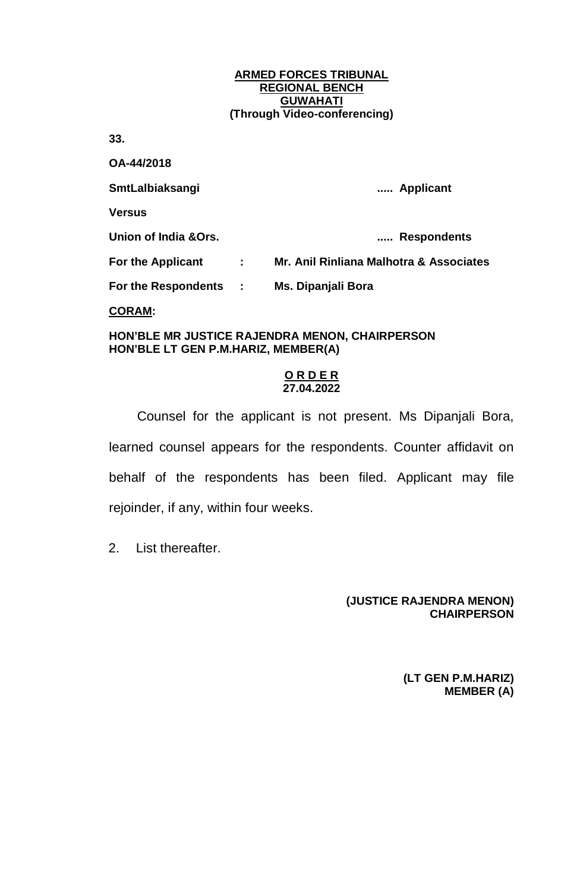**33.**

**OA-44/2018 SmtLalbiaksangi ..... Applicant Versus Union of India &Ors. ..... Respondents For the Applicant : Mr. Anil Rinliana Malhotra & Associates For the Respondents : Ms. Dipanjali Bora CORAM:**

**HON'BLE MR JUSTICE RAJENDRA MENON, CHAIRPERSON HON'BLE LT GEN P.M.HARIZ, MEMBER(A)**

### **O R D E R 27.04.2022**

Counsel for the applicant is not present. Ms Dipanjali Bora, learned counsel appears for the respondents. Counter affidavit on behalf of the respondents has been filed. Applicant may file rejoinder, if any, within four weeks.

2. List thereafter.

### **(JUSTICE RAJENDRA MENON) CHAIRPERSON**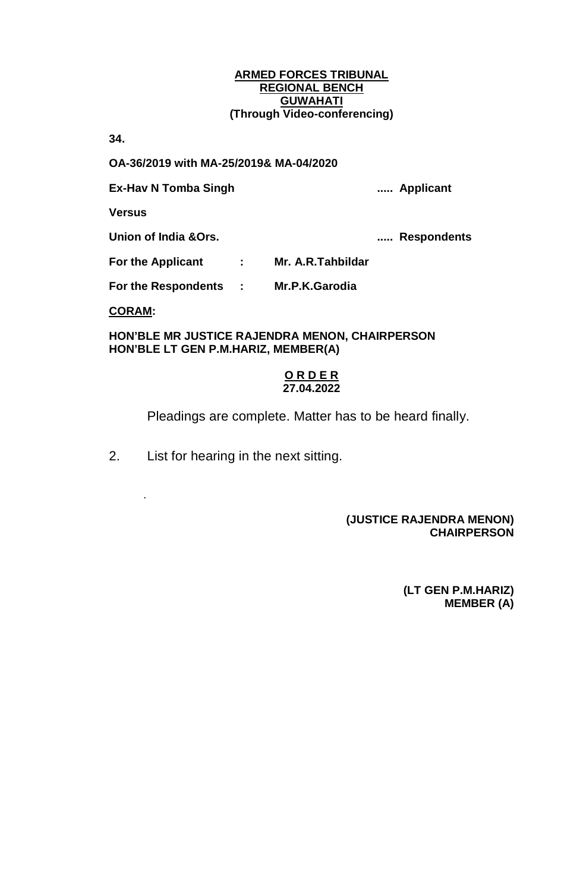**34.** 

**OA-36/2019 with MA-25/2019& MA-04/2020**

**Ex-Hav N Tomba Singh ..... Applicant**

**Versus**

**Union of India &Ors. ..... Respondents**

**For the Applicant : Mr. A.R.Tahbildar**

**For the Respondents : Mr.P.K.Garodia**

**CORAM:**

.

**HON'BLE MR JUSTICE RAJENDRA MENON, CHAIRPERSON HON'BLE LT GEN P.M.HARIZ, MEMBER(A)**

### **O R D E R 27.04.2022**

Pleadings are complete. Matter has to be heard finally.

2. List for hearing in the next sitting.

## **(JUSTICE RAJENDRA MENON) CHAIRPERSON**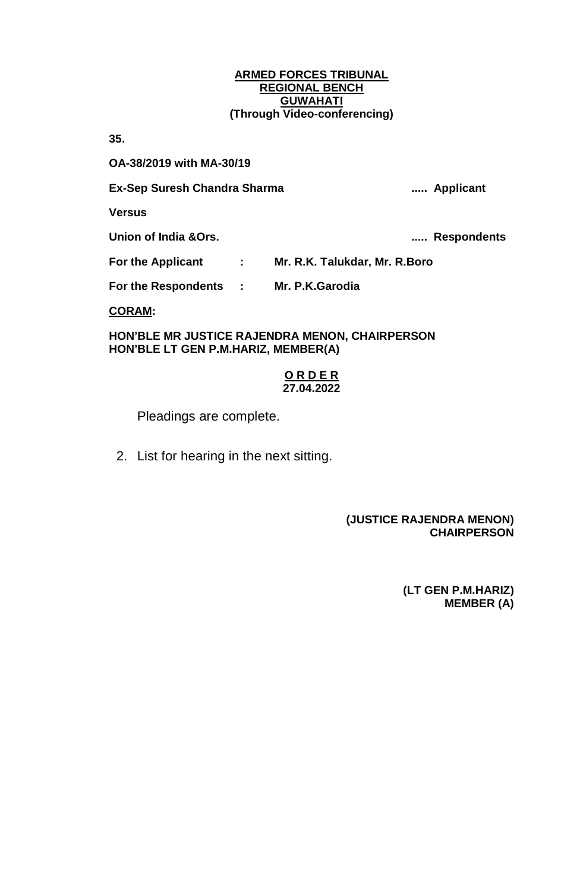**35.** 

**OA-38/2019 with MA-30/19**

### **Ex-Sep Suresh Chandra Sharma ..... Applicant**

**Versus**

**Union of India &Ors. ..... Respondents**

**For the Applicant : Mr. R.K. Talukdar, Mr. R.Boro**

**For the Respondents : Mr. P.K.Garodia**

**CORAM:**

**HON'BLE MR JUSTICE RAJENDRA MENON, CHAIRPERSON HON'BLE LT GEN P.M.HARIZ, MEMBER(A)**

### **O R D E R 27.04.2022**

Pleadings are complete.

2. List for hearing in the next sitting.

## **(JUSTICE RAJENDRA MENON) CHAIRPERSON**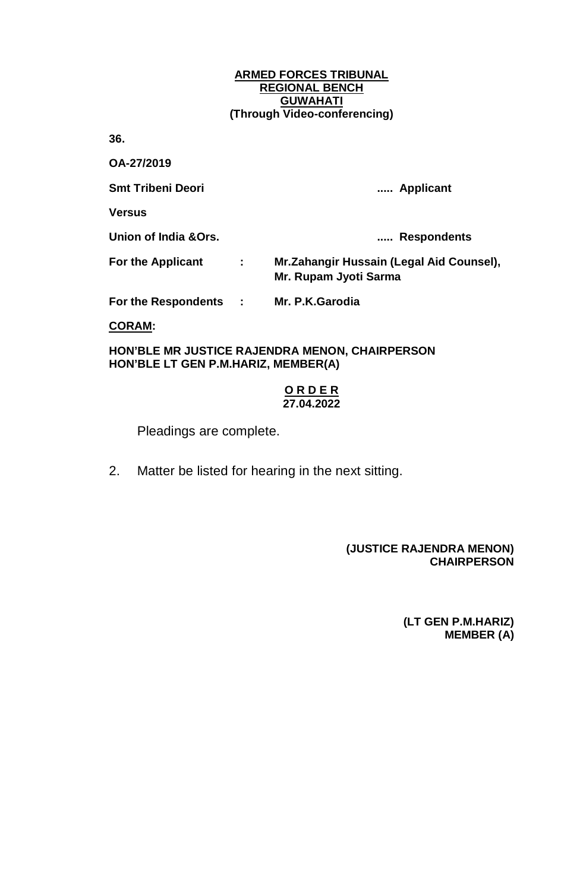**36.** 

**OA-27/2019**

**Smt Tribeni Deori ..... Applicant**

**Versus**

**Union of India &Ors. ..... Respondents**

**For the Applicant : Mr.Zahangir Hussain (Legal Aid Counsel), Mr. Rupam Jyoti Sarma**

**For the Respondents : Mr. P.K.Garodia**

**CORAM:**

**HON'BLE MR JUSTICE RAJENDRA MENON, CHAIRPERSON HON'BLE LT GEN P.M.HARIZ, MEMBER(A)**

### **O R D E R 27.04.2022**

Pleadings are complete.

2. Matter be listed for hearing in the next sitting.

### **(JUSTICE RAJENDRA MENON) CHAIRPERSON**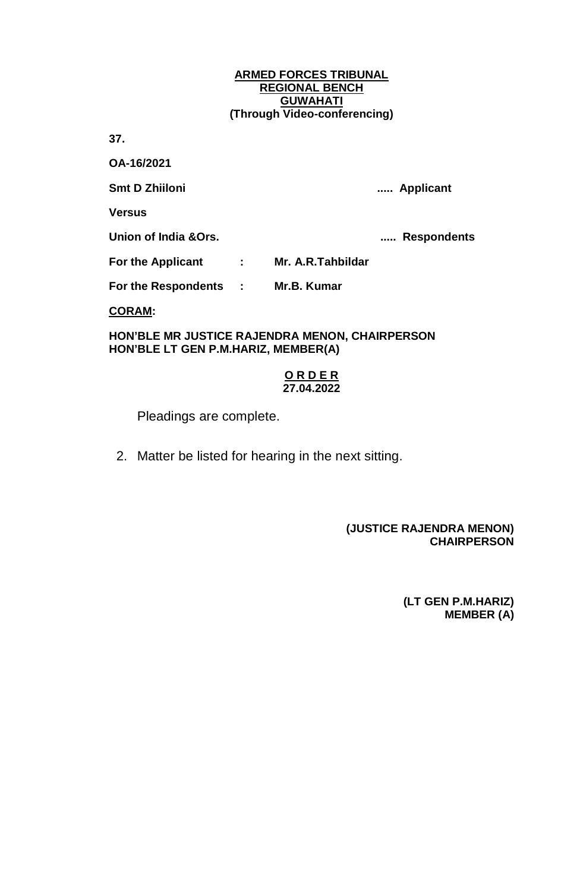**37.** 

**OA-16/2021**

**Smt D Zhiiloni ..... Applicant**

**Versus**

**Union of India &Ors. ..... Respondents**

**For the Applicant : Mr. A.R.Tahbildar**

**For the Respondents : Mr.B. Kumar**

**CORAM:**

**HON'BLE MR JUSTICE RAJENDRA MENON, CHAIRPERSON HON'BLE LT GEN P.M.HARIZ, MEMBER(A)**

### **O R D E R 27.04.2022**

Pleadings are complete.

2. Matter be listed for hearing in the next sitting.

### **(JUSTICE RAJENDRA MENON) CHAIRPERSON**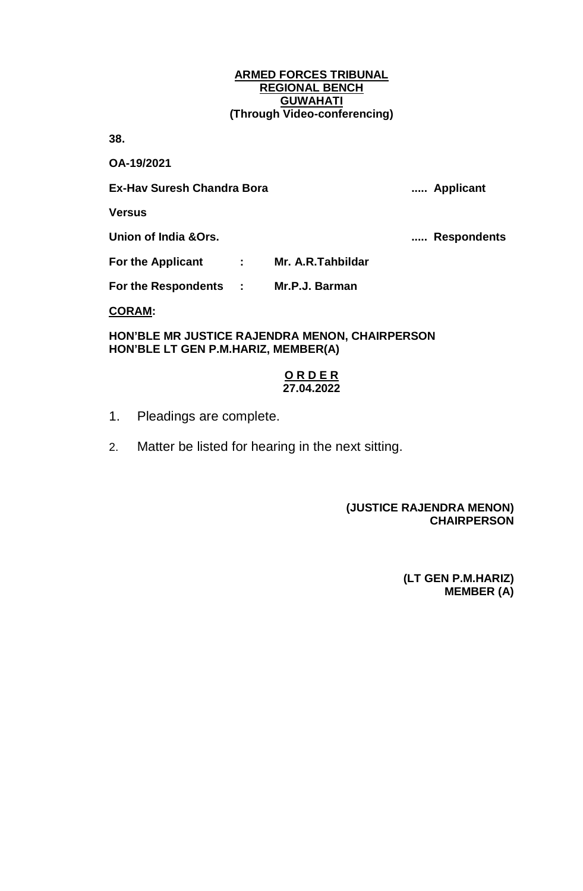**38.** 

**OA-19/2021**

**Ex-Hav Suresh Chandra Bora ..... Applicant**

**Versus**

**Union of India &Ors. ..... Respondents**

**For the Applicant : Mr. A.R.Tahbildar**

**For the Respondents : Mr.P.J. Barman**

**CORAM:**

**HON'BLE MR JUSTICE RAJENDRA MENON, CHAIRPERSON HON'BLE LT GEN P.M.HARIZ, MEMBER(A)**

### **O R D E R 27.04.2022**

- 1. Pleadings are complete.
- 2. Matter be listed for hearing in the next sitting.

# **(JUSTICE RAJENDRA MENON) CHAIRPERSON**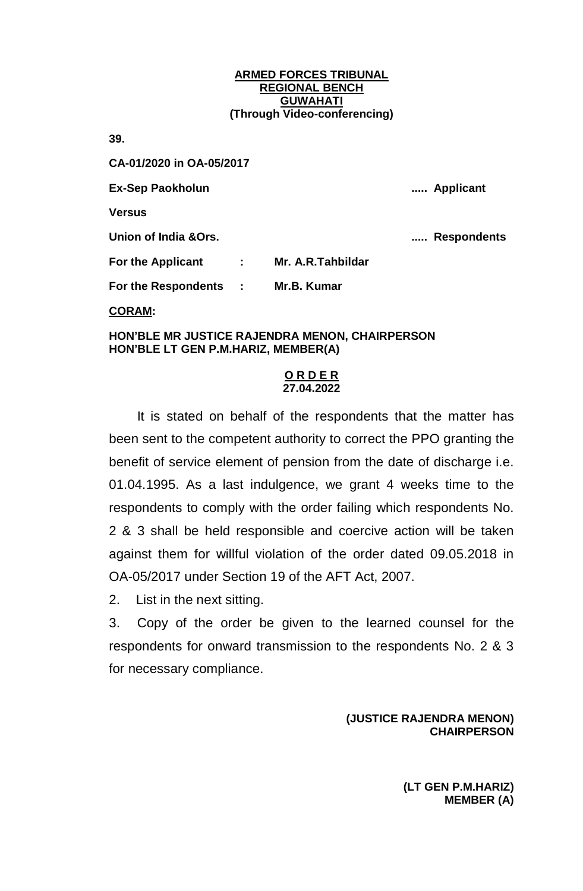**39.** 

**CA-01/2020 in OA-05/2017 Ex-Sep Paokholun ..... Applicant Versus Union of India &Ors. ..... Respondents For the Applicant : Mr. A.R.Tahbildar For the Respondents : Mr.B. Kumar CORAM:**

### **HON'BLE MR JUSTICE RAJENDRA MENON, CHAIRPERSON HON'BLE LT GEN P.M.HARIZ, MEMBER(A)**

## **O R D E R 27.04.2022**

It is stated on behalf of the respondents that the matter has been sent to the competent authority to correct the PPO granting the benefit of service element of pension from the date of discharge i.e. 01.04.1995. As a last indulgence, we grant 4 weeks time to the respondents to comply with the order failing which respondents No. 2 & 3 shall be held responsible and coercive action will be taken against them for willful violation of the order dated 09.05.2018 in OA-05/2017 under Section 19 of the AFT Act, 2007.

2. List in the next sitting.

3. Copy of the order be given to the learned counsel for the respondents for onward transmission to the respondents No. 2 & 3 for necessary compliance.

## **(JUSTICE RAJENDRA MENON) CHAIRPERSON**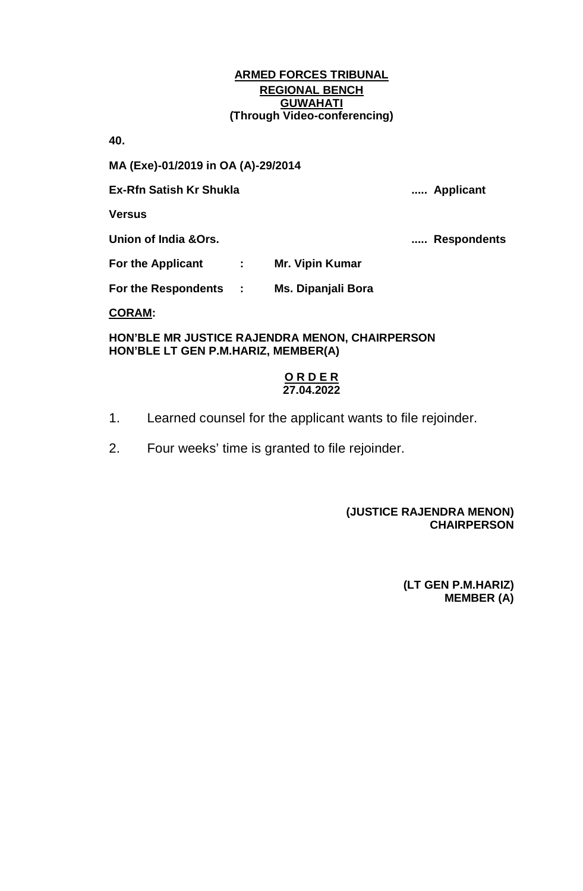**40.** 

**MA (Exe)-01/2019 in OA (A)-29/2014**

**Ex-Rfn Satish Kr Shukla ..... Applicant**

**Versus**

**Union of India &Ors. ..... Respondents**

**For the Applicant : Mr. Vipin Kumar**

**For the Respondents : Ms. Dipanjali Bora**

**CORAM:**

**HON'BLE MR JUSTICE RAJENDRA MENON, CHAIRPERSON HON'BLE LT GEN P.M.HARIZ, MEMBER(A)**

### **O R D E R 27.04.2022**

- 1. Learned counsel for the applicant wants to file rejoinder.
- 2. Four weeks' time is granted to file rejoinder.

# **(JUSTICE RAJENDRA MENON) CHAIRPERSON**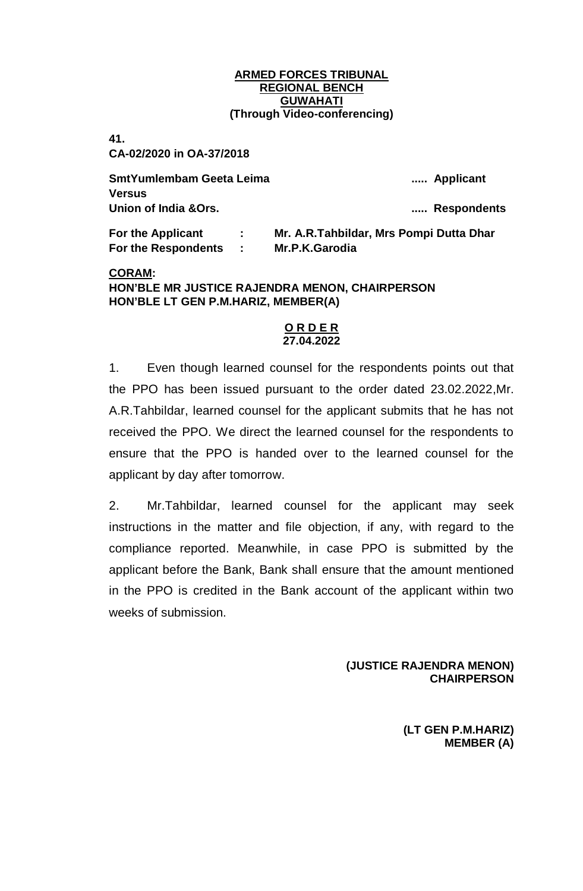**41.** 

**CA-02/2020 in OA-37/2018**

**SmtYumlembam Geeta Leima ..... Applicant Versus Union of India &Ors. ..... Respondents**

**For the Respondents : Mr.P.K.Garodia**

**For the Applicant : Mr. A.R.Tahbildar, Mrs Pompi Dutta Dhar**

### **CORAM:**

**HON'BLE MR JUSTICE RAJENDRA MENON, CHAIRPERSON HON'BLE LT GEN P.M.HARIZ, MEMBER(A)**

#### **O R D E R 27.04.2022**

1. Even though learned counsel for the respondents points out that the PPO has been issued pursuant to the order dated 23.02.2022,Mr. A.R.Tahbildar, learned counsel for the applicant submits that he has not received the PPO. We direct the learned counsel for the respondents to ensure that the PPO is handed over to the learned counsel for the applicant by day after tomorrow.

2. Mr.Tahbildar, learned counsel for the applicant may seek instructions in the matter and file objection, if any, with regard to the compliance reported. Meanwhile, in case PPO is submitted by the applicant before the Bank, Bank shall ensure that the amount mentioned in the PPO is credited in the Bank account of the applicant within two weeks of submission.

> **(JUSTICE RAJENDRA MENON) CHAIRPERSON**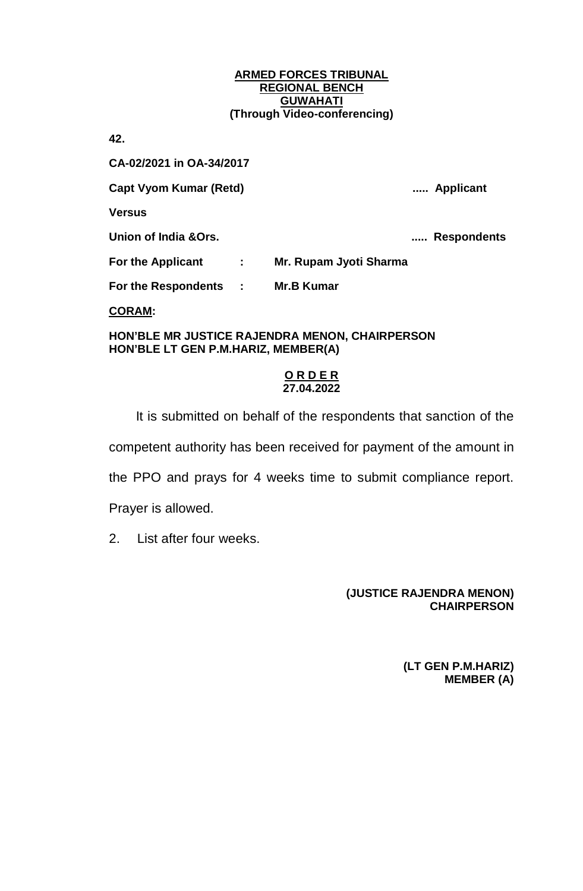**42.** 

**CA-02/2021 in OA-34/2017**

**Capt Vyom Kumar (Retd) ..... Applicant**

**Versus**

**Union of India &Ors. ..... Respondents**

**For the Applicant : Mr. Rupam Jyoti Sharma**

**For the Respondents : Mr.B Kumar**

**CORAM:**

**HON'BLE MR JUSTICE RAJENDRA MENON, CHAIRPERSON HON'BLE LT GEN P.M.HARIZ, MEMBER(A)**

## **O R D E R 27.04.2022**

It is submitted on behalf of the respondents that sanction of the competent authority has been received for payment of the amount in the PPO and prays for 4 weeks time to submit compliance report. Prayer is allowed.

2. List after four weeks.

# **(JUSTICE RAJENDRA MENON) CHAIRPERSON**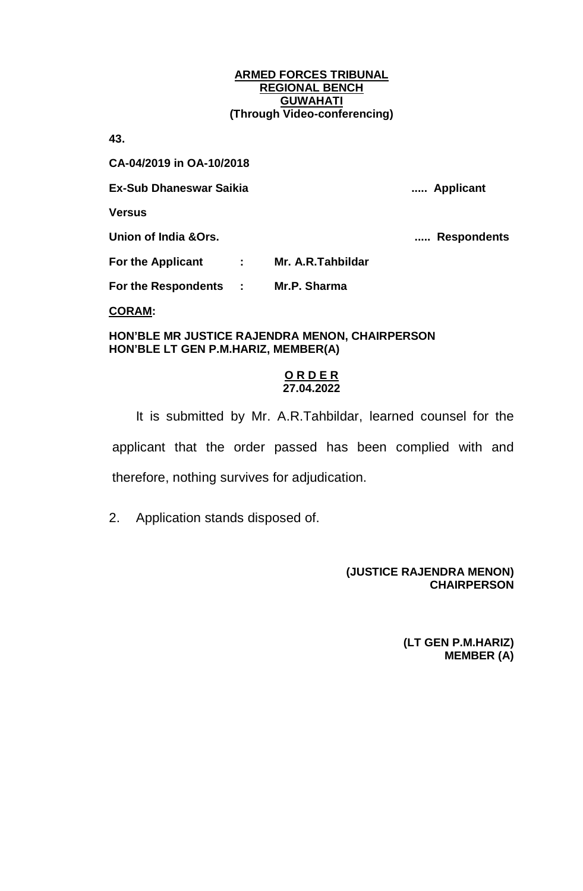**43.** 

**CA-04/2019 in OA-10/2018**

**Ex-Sub Dhaneswar Saikia ..... Applicant**

**Versus**

**Union of India &Ors. ..... Respondents**

**For the Applicant : Mr. A.R.Tahbildar For the Respondents : Mr.P. Sharma**

**CORAM:**

**HON'BLE MR JUSTICE RAJENDRA MENON, CHAIRPERSON HON'BLE LT GEN P.M.HARIZ, MEMBER(A)**

### **O R D E R 27.04.2022**

It is submitted by Mr. A.R.Tahbildar, learned counsel for the applicant that the order passed has been complied with and therefore, nothing survives for adjudication.

2. Application stands disposed of.

# **(JUSTICE RAJENDRA MENON) CHAIRPERSON**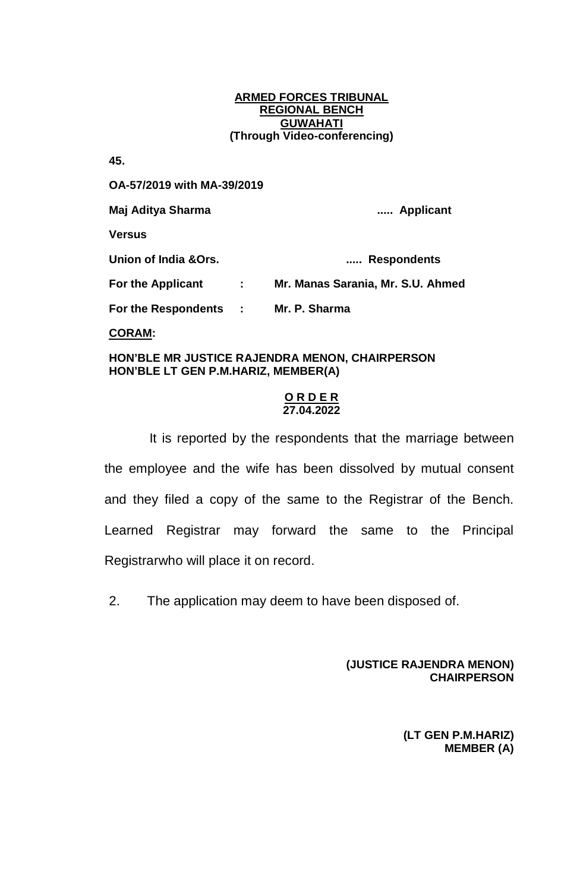**45.** 

**OA-57/2019 with MA-39/2019**

**Maj Aditya Sharma ..... Applicant**

**Versus**

**Union of India &Ors. ..... Respondents**

**For the Applicant : Mr. Manas Sarania, Mr. S.U. Ahmed**

**For the Respondents : Mr. P. Sharma**

**CORAM:**

**HON'BLE MR JUSTICE RAJENDRA MENON, CHAIRPERSON HON'BLE LT GEN P.M.HARIZ, MEMBER(A)**

### **O R D E R 27.04.2022**

It is reported by the respondents that the marriage between the employee and the wife has been dissolved by mutual consent and they filed a copy of the same to the Registrar of the Bench. Learned Registrar may forward the same to the Principal Registrarwho will place it on record.

2. The application may deem to have been disposed of.

 **(JUSTICE RAJENDRA MENON) CHAIRPERSON**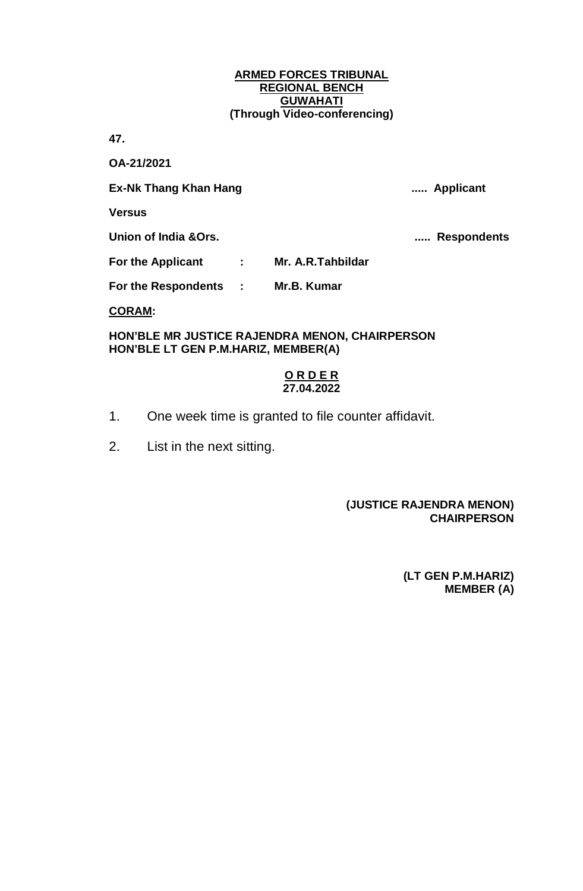**47.** 

**OA-21/2021**

**Ex-Nk Thang Khan Hang ..... Applicant**

**Versus**

**Union of India &Ors. ..... Respondents**

**For the Applicant : Mr. A.R.Tahbildar**

**For the Respondents : Mr.B. Kumar**

**CORAM:**

**HON'BLE MR JUSTICE RAJENDRA MENON, CHAIRPERSON HON'BLE LT GEN P.M.HARIZ, MEMBER(A)**

### **O R D E R 27.04.2022**

- 1. One week time is granted to file counter affidavit.
- 2. List in the next sitting.

# **(JUSTICE RAJENDRA MENON) CHAIRPERSON**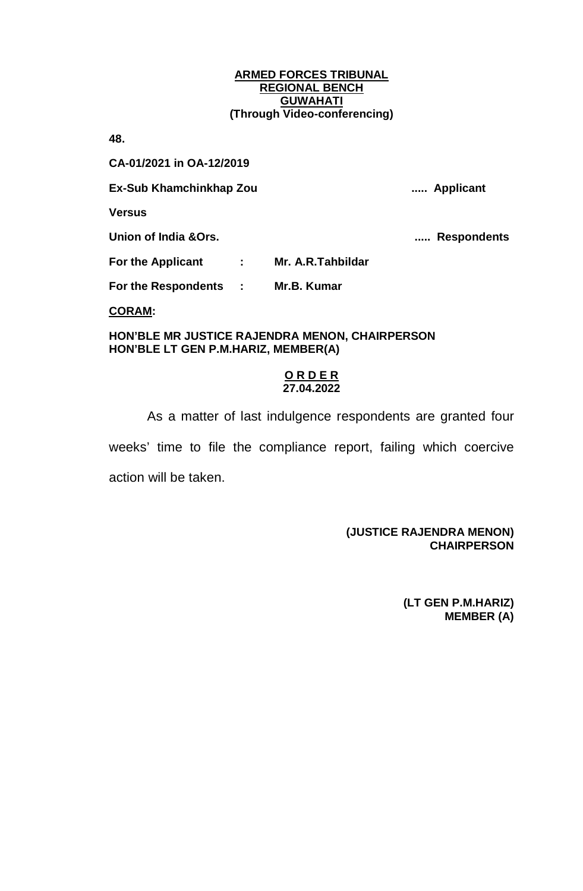**48.** 

**CA-01/2021 in OA-12/2019**

**Ex-Sub Khamchinkhap Zou ..... Applicant**

**Versus**

**Union of India &Ors. ..... Respondents**

**For the Applicant : Mr. A.R.Tahbildar**

**For the Respondents : Mr.B. Kumar**

**CORAM:**

**HON'BLE MR JUSTICE RAJENDRA MENON, CHAIRPERSON HON'BLE LT GEN P.M.HARIZ, MEMBER(A)**

### **O R D E R 27.04.2022**

As a matter of last indulgence respondents are granted four weeks' time to file the compliance report, failing which coercive action will be taken.

## **(JUSTICE RAJENDRA MENON) CHAIRPERSON**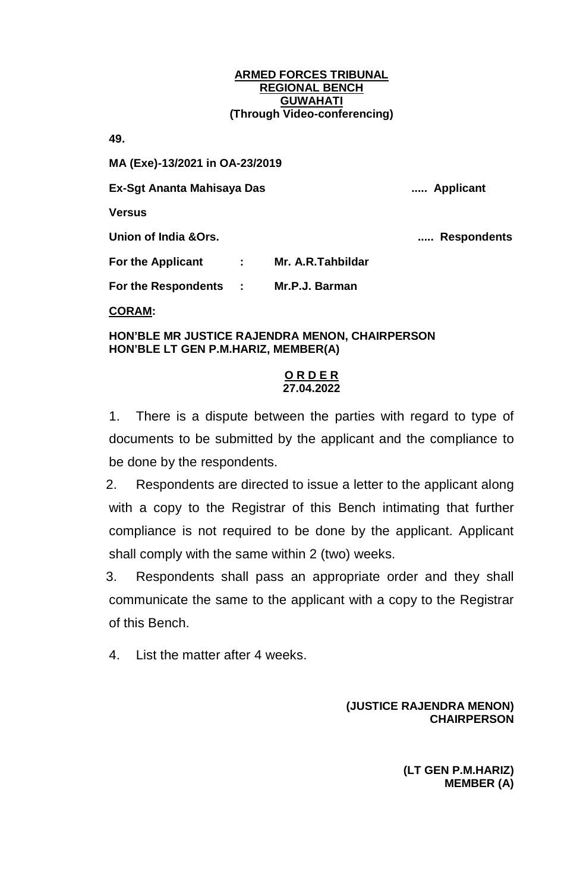**49.** 

**MA (Exe)-13/2021 in OA-23/2019**

**Ex-Sgt Ananta Mahisaya Das ..... Applicant**

**Versus**

**Union of India &Ors. ..... Respondents**

**For the Applicant : Mr. A.R.Tahbildar**

**For the Respondents : Mr.P.J. Barman**

**CORAM:**

**HON'BLE MR JUSTICE RAJENDRA MENON, CHAIRPERSON HON'BLE LT GEN P.M.HARIZ, MEMBER(A)**

# **O R D E R 27.04.2022**

1. There is a dispute between the parties with regard to type of documents to be submitted by the applicant and the compliance to be done by the respondents.

2. Respondents are directed to issue a letter to the applicant along with a copy to the Registrar of this Bench intimating that further compliance is not required to be done by the applicant. Applicant shall comply with the same within 2 (two) weeks.

3. Respondents shall pass an appropriate order and they shall communicate the same to the applicant with a copy to the Registrar of this Bench.

4. List the matter after 4 weeks.

# **(JUSTICE RAJENDRA MENON) CHAIRPERSON**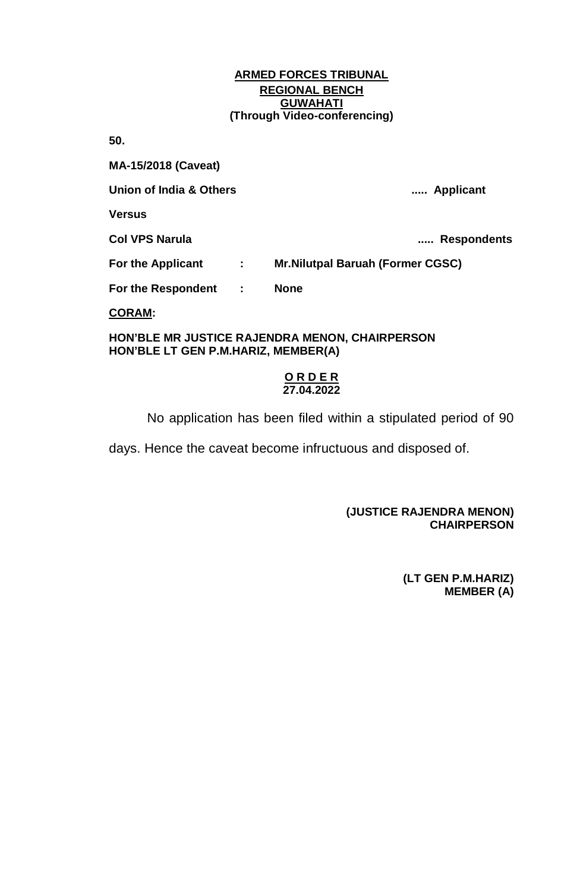**50.** 

**MA-15/2018 (Caveat)**

**Union of India & Others ..... Applicant**

**Versus**

**Col VPS Narula ..... Respondents**

**For the Applicant : Mr.Nilutpal Baruah (Former CGSC)**

**For the Respondent : None**

**CORAM:**

#### **HON'BLE MR JUSTICE RAJENDRA MENON, CHAIRPERSON HON'BLE LT GEN P.M.HARIZ, MEMBER(A)**

### **O R D E R 27.04.2022**

No application has been filed within a stipulated period of 90

days. Hence the caveat become infructuous and disposed of.

## **(JUSTICE RAJENDRA MENON) CHAIRPERSON**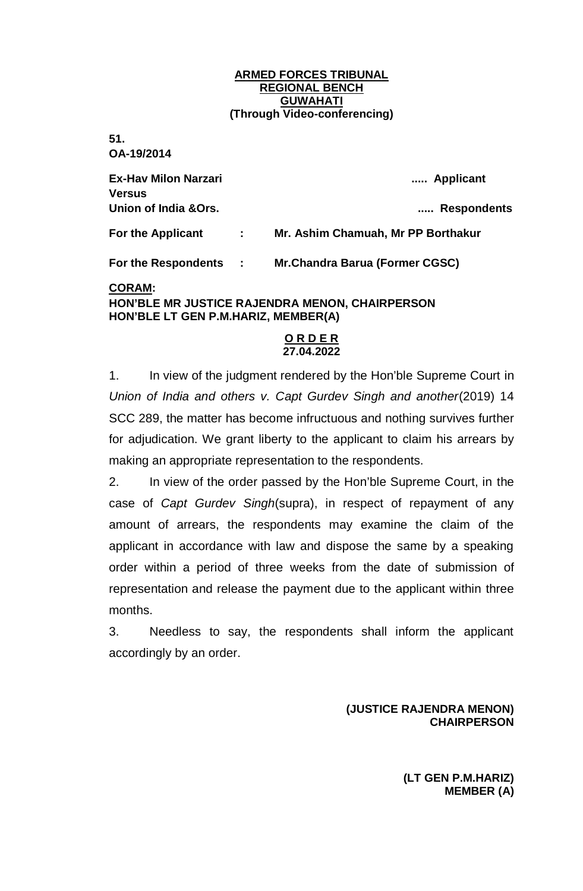**51.** 

**OA-19/2014**

| <b>Ex-Hav Milon Narzari</b><br>Versus |    | Applicant                             |
|---------------------------------------|----|---------------------------------------|
| Union of India &Ors.                  |    | Respondents                           |
| For the Applicant                     | ÷. | Mr. Ashim Chamuah, Mr PP Borthakur    |
| <b>For the Respondents :</b>          |    | <b>Mr.Chandra Barua (Former CGSC)</b> |
| <u>CORAM:</u>                         |    |                                       |

# **HON'BLE MR JUSTICE RAJENDRA MENON, CHAIRPERSON HON'BLE LT GEN P.M.HARIZ, MEMBER(A)**

### **O R D E R 27.04.2022**

1. In view of the judgment rendered by the Hon'ble Supreme Court in *Union of India and others v. Capt Gurdev Singh and another*(2019) 14 SCC 289, the matter has become infructuous and nothing survives further for adjudication. We grant liberty to the applicant to claim his arrears by making an appropriate representation to the respondents.

2. In view of the order passed by the Hon'ble Supreme Court, in the case of *Capt Gurdev Singh*(supra), in respect of repayment of any amount of arrears, the respondents may examine the claim of the applicant in accordance with law and dispose the same by a speaking order within a period of three weeks from the date of submission of representation and release the payment due to the applicant within three months.

3. Needless to say, the respondents shall inform the applicant accordingly by an order.

## **(JUSTICE RAJENDRA MENON) CHAIRPERSON**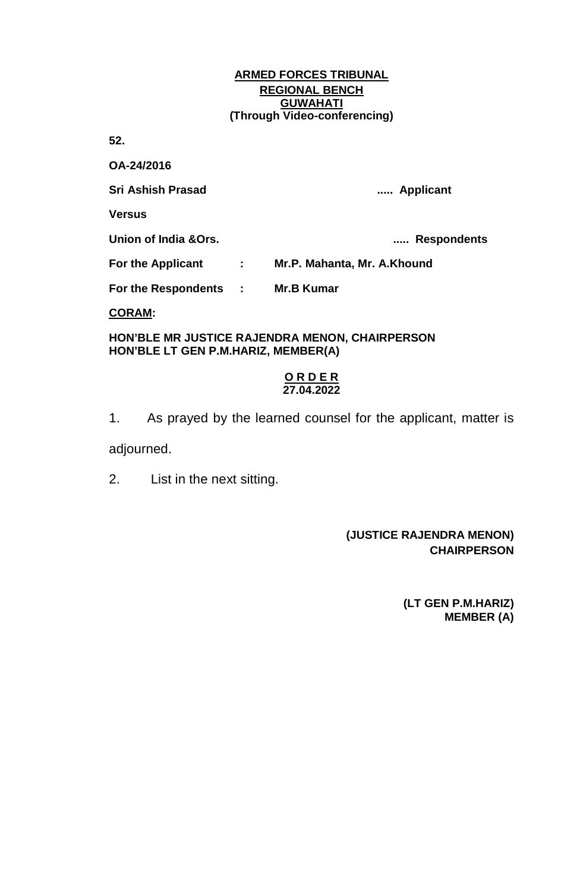**52.** 

| OA-24/2016                          |              |                                                |
|-------------------------------------|--------------|------------------------------------------------|
| <b>Sri Ashish Prasad</b>            |              | Applicant                                      |
| <b>Versus</b>                       |              |                                                |
| Union of India & Ors.               |              | <b>Respondents</b>                             |
| <b>For the Applicant</b>            | $\mathbf{r}$ | Mr.P. Mahanta, Mr. A.Khound                    |
| For the Respondents :               |              | <b>Mr.B Kumar</b>                              |
| <b>CORAM:</b>                       |              |                                                |
| HON'BLE LT GEN P.M.HARIZ, MEMBER(A) |              | HON'BLE MR JUSTICE RAJENDRA MENON, CHAIRPERSON |

## **O R D E R 27.04.2022**

1. As prayed by the learned counsel for the applicant, matter is adjourned.

2. List in the next sitting.

# **(JUSTICE RAJENDRA MENON) CHAIRPERSON**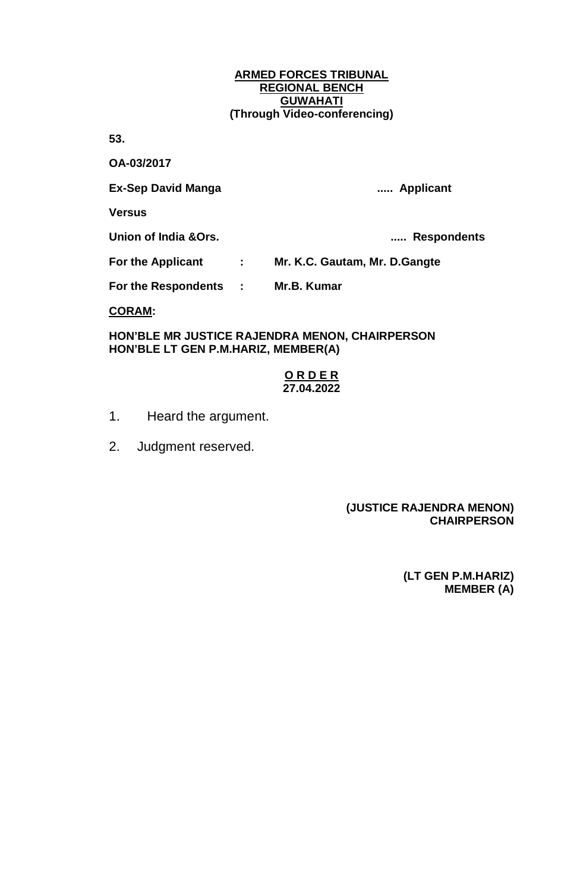**53.** 

**OA-03/2017**

**Ex-Sep David Manga ..... Applicant**

**Versus**

**Union of India &Ors. ..... Respondents**

**For the Applicant : Mr. K.C. Gautam, Mr. D.Gangte**

**For the Respondents : Mr.B. Kumar**

**CORAM:**

**HON'BLE MR JUSTICE RAJENDRA MENON, CHAIRPERSON HON'BLE LT GEN P.M.HARIZ, MEMBER(A)**

### **O R D E R 27.04.2022**

- 1. Heard the argument.
- 2. Judgment reserved.

## **(JUSTICE RAJENDRA MENON) CHAIRPERSON**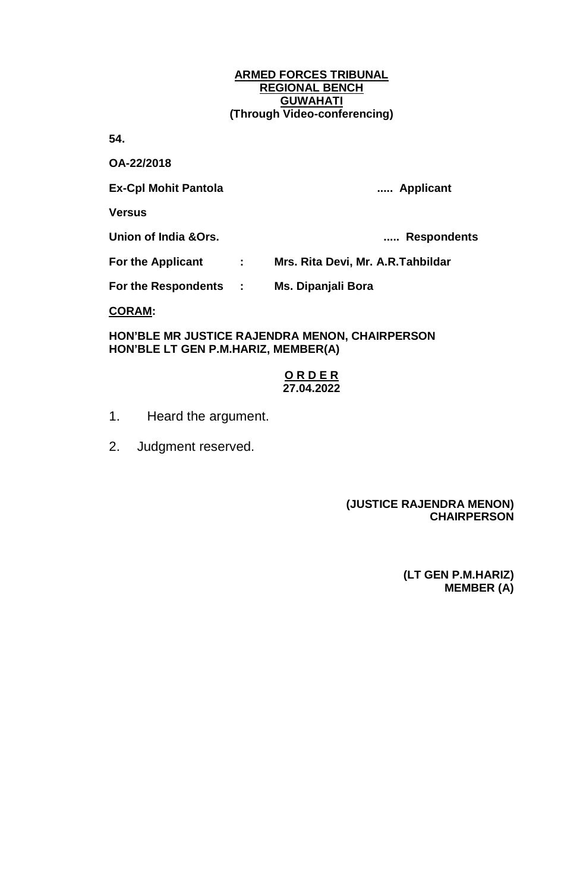**54.** 

**OA-22/2018**

**Ex-Cpl Mohit Pantola ..... Applicant**

**Versus**

**Union of India &Ors. ..... Respondents**

**For the Applicant : Mrs. Rita Devi, Mr. A.R.Tahbildar**

**For the Respondents : Ms. Dipanjali Bora**

**CORAM:**

**HON'BLE MR JUSTICE RAJENDRA MENON, CHAIRPERSON HON'BLE LT GEN P.M.HARIZ, MEMBER(A)**

## **O R D E R 27.04.2022**

- 1. Heard the argument.
- 2. Judgment reserved.

## **(JUSTICE RAJENDRA MENON) CHAIRPERSON**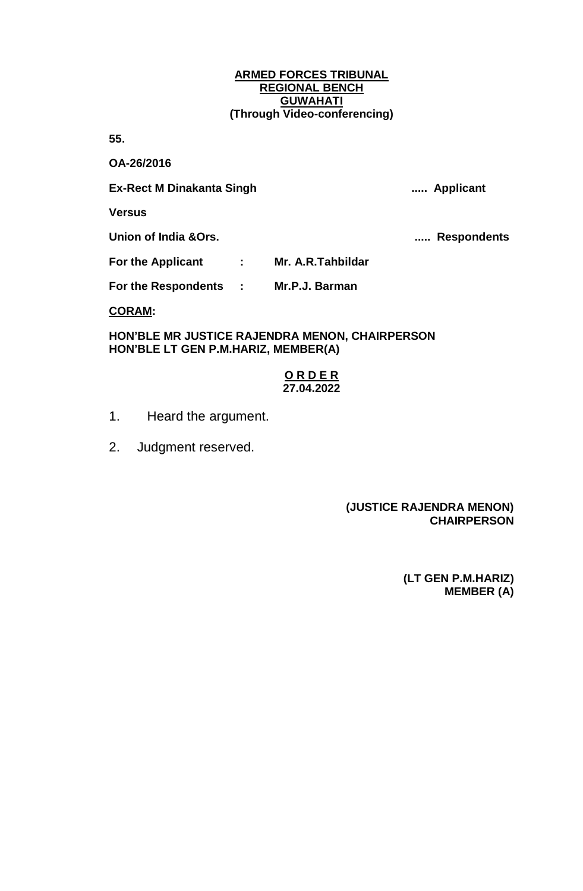**55.** 

**OA-26/2016**

**Ex-Rect M Dinakanta Singh ..... Applicant**

**Versus**

**Union of India &Ors. ..... Respondents**

**For the Applicant : Mr. A.R.Tahbildar**

**For the Respondents : Mr.P.J. Barman**

**CORAM:**

**HON'BLE MR JUSTICE RAJENDRA MENON, CHAIRPERSON HON'BLE LT GEN P.M.HARIZ, MEMBER(A)**

### **O R D E R 27.04.2022**

- 1. Heard the argument.
- 2. Judgment reserved.

## **(JUSTICE RAJENDRA MENON) CHAIRPERSON**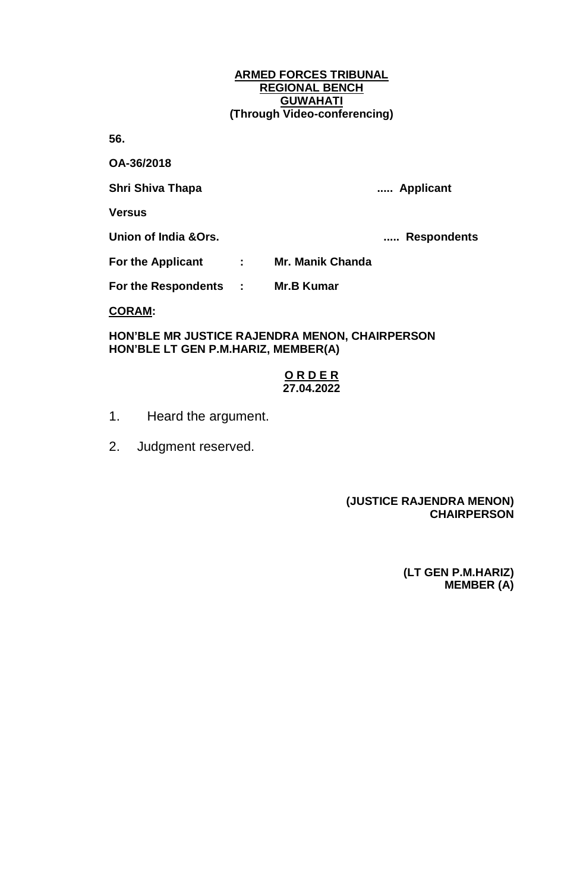**56.** 

**OA-36/2018**

**Shri Shiva Thapa ..... Applicant**

**Versus**

**Union of India &Ors. ..... Respondents**

**For the Applicant : Mr. Manik Chanda**

**For the Respondents : Mr.B Kumar**

**CORAM:**

**HON'BLE MR JUSTICE RAJENDRA MENON, CHAIRPERSON HON'BLE LT GEN P.M.HARIZ, MEMBER(A)**

## **O R D E R 27.04.2022**

- 1. Heard the argument.
- 2. Judgment reserved.

## **(JUSTICE RAJENDRA MENON) CHAIRPERSON**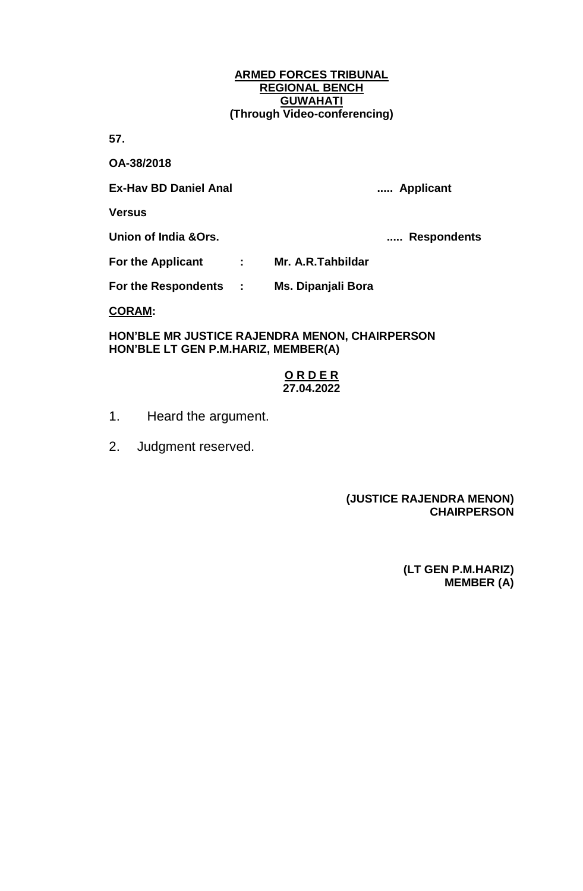**57.** 

**OA-38/2018**

**Ex-Hav BD Daniel Anal ..... Applicant**

**Versus**

**Union of India &Ors. ..... Respondents**

**For the Applicant : Mr. A.R.Tahbildar**

**For the Respondents : Ms. Dipanjali Bora**

**CORAM:**

**HON'BLE MR JUSTICE RAJENDRA MENON, CHAIRPERSON HON'BLE LT GEN P.M.HARIZ, MEMBER(A)**

### **O R D E R 27.04.2022**

- 1. Heard the argument.
- 2. Judgment reserved.

## **(JUSTICE RAJENDRA MENON) CHAIRPERSON**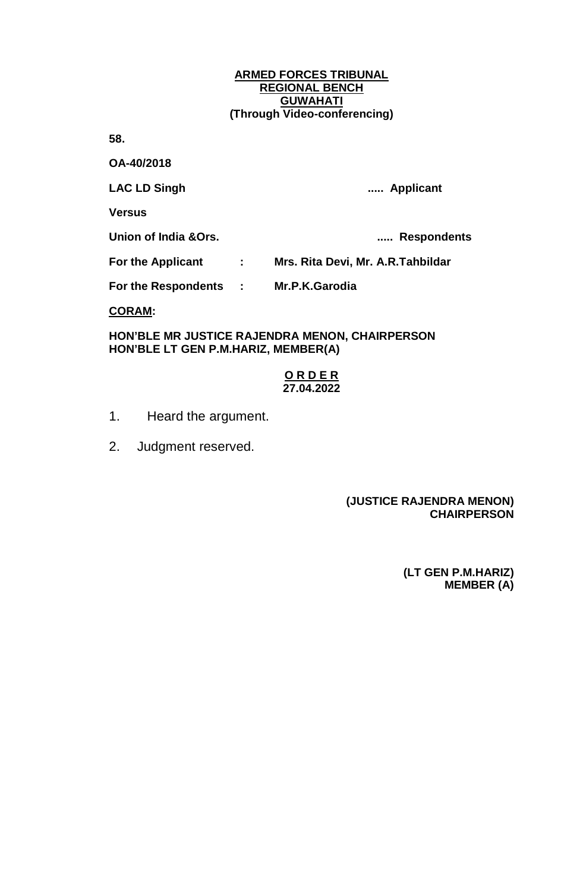**58.** 

**OA-40/2018**

**LAC LD Singh ..... Applicant**

**Versus**

**Union of India &Ors. ..... Respondents**

**For the Applicant : Mrs. Rita Devi, Mr. A.R.Tahbildar**

**For the Respondents : Mr.P.K.Garodia**

**CORAM:**

**HON'BLE MR JUSTICE RAJENDRA MENON, CHAIRPERSON HON'BLE LT GEN P.M.HARIZ, MEMBER(A)**

## **O R D E R 27.04.2022**

- 1. Heard the argument.
- 2. Judgment reserved.

## **(JUSTICE RAJENDRA MENON) CHAIRPERSON**